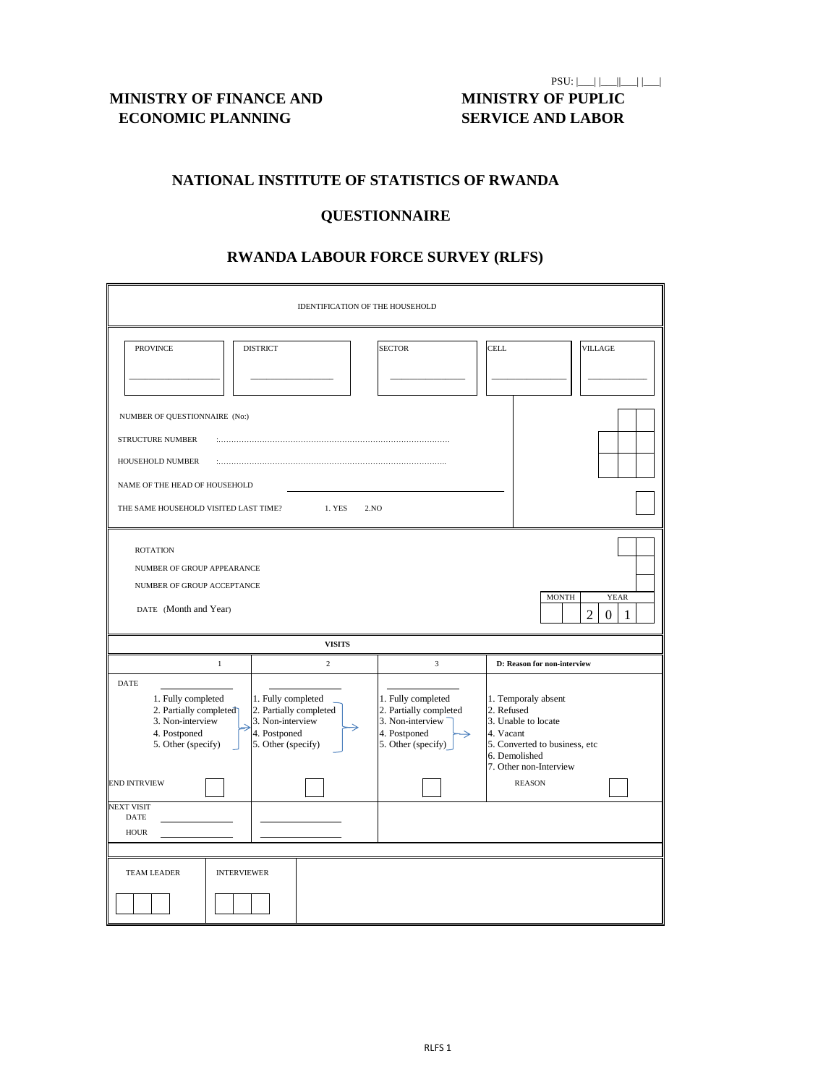**MINISTRY OF FINANCE AND MINISTRY OF PUPLIC ECONOMIC PLANNING SERVICE AND LABOR**

 $PSU: |$  |\_\_|  $|$  |\_\_|  $|$  |\_\_|  $|$ 

## **NATIONAL INSTITUTE OF STATISTICS OF RWANDA**

| IDENTIFICATION OF THE HOUSEHOLD                                                                                                                                           |                                                                                                        |                                                                                                                         |                                                                                                                                                   |  |  |  |  |  |  |  |
|---------------------------------------------------------------------------------------------------------------------------------------------------------------------------|--------------------------------------------------------------------------------------------------------|-------------------------------------------------------------------------------------------------------------------------|---------------------------------------------------------------------------------------------------------------------------------------------------|--|--|--|--|--|--|--|
| <b>PROVINCE</b>                                                                                                                                                           | <b>DISTRICT</b>                                                                                        | <b>SECTOR</b>                                                                                                           | <b>CELL</b><br><b>VILLAGE</b>                                                                                                                     |  |  |  |  |  |  |  |
| NUMBER OF QUESTIONNAIRE (No:)<br><b>STRUCTURE NUMBER</b><br>HOUSEHOLD NUMBER<br>NAME OF THE HEAD OF HOUSEHOLD<br>THE SAME HOUSEHOLD VISITED LAST TIME?                    | 1. YES                                                                                                 | 2.NO                                                                                                                    |                                                                                                                                                   |  |  |  |  |  |  |  |
| <b>ROTATION</b><br>NUMBER OF GROUP APPEARANCE<br>NUMBER OF GROUP ACCEPTANCE<br><b>MONTH</b><br><b>YEAR</b><br>DATE (Month and Year)<br>$\overline{2}$<br>$\boldsymbol{0}$ |                                                                                                        |                                                                                                                         |                                                                                                                                                   |  |  |  |  |  |  |  |
|                                                                                                                                                                           | <b>VISITS</b>                                                                                          |                                                                                                                         |                                                                                                                                                   |  |  |  |  |  |  |  |
| 1                                                                                                                                                                         | $\overline{2}$                                                                                         | 3                                                                                                                       | D: Reason for non-interview                                                                                                                       |  |  |  |  |  |  |  |
| <b>DATE</b><br>1. Fully completed<br>2. Partially completed<br>3. Non-interview<br>4. Postponed<br>5. Other (specify)                                                     | 1. Fully completed<br>2. Partially completed<br>3. Non-interview<br>4. Postponed<br>5. Other (specify) | 1. Fully completed<br>2. Partially completed<br>3. Non-interview<br>4. Postponed<br>$\rightarrow$<br>5. Other (specify) | 1. Temporaly absent<br>2. Refused<br>3. Unable to locate<br>4. Vacant<br>5. Converted to business, etc<br>6. Demolished<br>7. Other non-Interview |  |  |  |  |  |  |  |
| <b>END INTRVIEW</b>                                                                                                                                                       |                                                                                                        |                                                                                                                         | <b>REASON</b>                                                                                                                                     |  |  |  |  |  |  |  |
| <b>NEXT VISIT</b><br>$\mathbf{DATE}$<br>${\rm HOUR}$                                                                                                                      |                                                                                                        |                                                                                                                         |                                                                                                                                                   |  |  |  |  |  |  |  |

| TEAM LEADER | INTERVIEWER |  |
|-------------|-------------|--|
|             |             |  |

# **QUESTIONNAIRE**

# **RWANDA LABOUR FORCE SURVEY (RLFS)**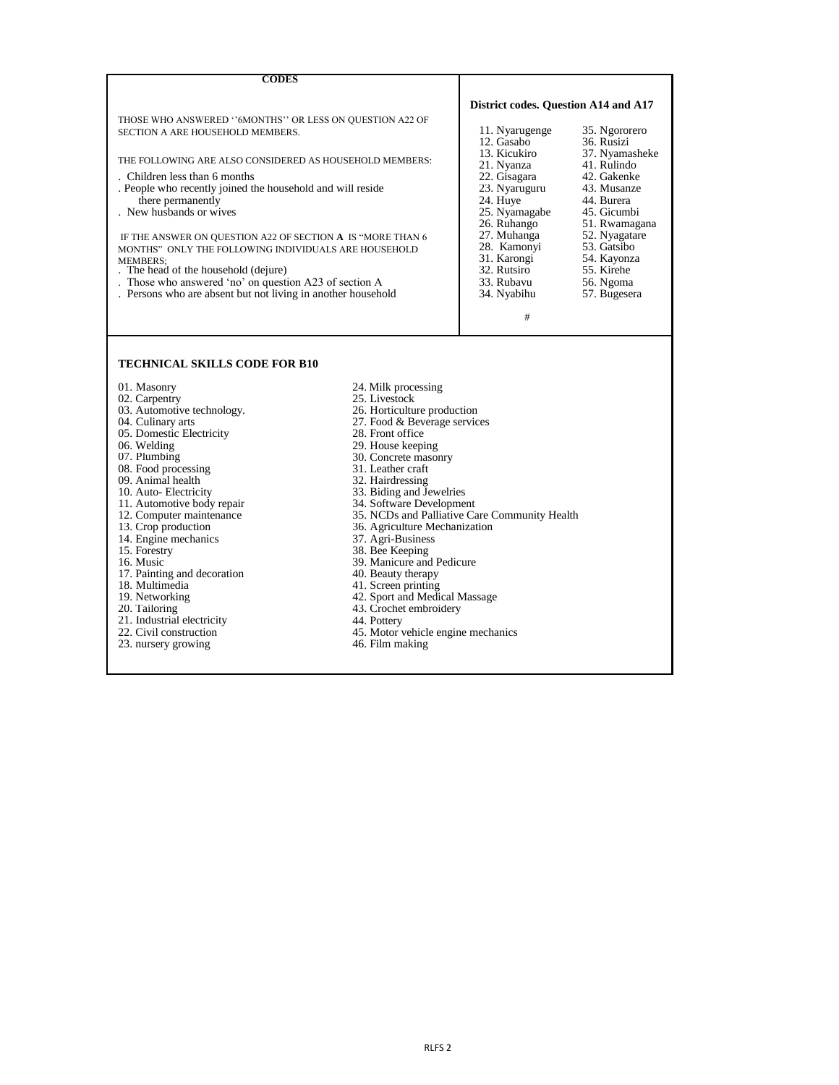- 01. Masonry 24. Milk processing<br>
02. Carpentry 25. Livestock
	-
	-
	- 27. Food & Beverage services
	-
	-
- 06. Welding 29. House keeping 29. House keeping 29. House keeping 29. House keeping 29. House keeping 29. House keeping 29. House keeping 29. House keeping 29. House keeping 20. Concrete mason 30. Concrete masonry<br>31. Leather craft
	-
	-
- 10. Auto- Electricity 33. Biding and Jewelries
	-
- 11. Automotive body repair<br>
12. Computer maintenance<br>
13. Crop production<br>
13. Crop production<br>
13. Crop production<br>
26. Agriculture Mechanization
	- 36. Agriculture Mechanization 37. Agri-Business
	-
	-
- 15. Forestry 38. Bee Keeping<br>16. Music 39. Manicure and 39. Manicure and Pedicure<br>40. Beauty therapy
	-
	-
- 18. Multimedia 41. Screen printing<br>19. Networking 42. Sport and Medic
- 42. Sport and Medical Massage<br>43. Crochet embroidery 20. Tailoring 20. Tailoring 20. Tailoring 20. Tailoring 20. Tailoring 20. Tailoring 20. Tailoring 20. Tailoring 20. Tailoring 20. Tailoring 20. Tailoring 20. Tailoring 20. Tailoring 20. Tailoring 20. Tailoring 20. Tailorin
	-
	-
- 22. Civil construction 45. Motor vehicle engine mechanics
	-

| <b>CODES</b>                                                                                 |                                             |                               |
|----------------------------------------------------------------------------------------------|---------------------------------------------|-------------------------------|
| THOSE WHO ANSWERED "6MONTHS" OR LESS ON QUESTION A22 OF                                      | <b>District codes. Question A14 and A17</b> |                               |
| SECTION A ARE HOUSEHOLD MEMBERS.                                                             | 11. Nyarugenge<br>12. Gasabo                | 35. Ngororero<br>36. Rusizi   |
| THE FOLLOWING ARE ALSO CONSIDERED AS HOUSEHOLD MEMBERS:                                      | 13. Kicukiro<br>21. Nyanza                  | 37. Nyamasheke<br>41. Rulindo |
| . Children less than 6 months                                                                | 22. Gisagara                                | 42. Gakenke                   |
| . People who recently joined the household and will reside                                   | 23. Nyaruguru                               | 43. Musanze                   |
| there permanently                                                                            | 24. Huye                                    | 44. Burera                    |
| . New husbands or wives                                                                      | 25. Nyamagabe                               | 45. Gicumbi                   |
|                                                                                              | 26. Ruhango                                 | 51. Rwamagana                 |
| IF THE ANSWER ON QUESTION A22 OF SECTION A IS "MORE THAN 6                                   | 27. Muhanga                                 | 52. Nyagatare                 |
| MONTHS" ONLY THE FOLLOWING INDIVIDUALS ARE HOUSEHOLD                                         | 28. Kamonyi                                 | 53. Gatsibo                   |
| <b>MEMBERS:</b>                                                                              | 31. Karongi<br>32. Rutsiro                  | 54. Kayonza<br>55. Kirehe     |
| . The head of the household (dejure)<br>Those who answered 'no' on question A23 of section A | 33. Rubavu                                  | 56. Ngoma                     |
| . Persons who are absent but not living in another household                                 | 34. Nyabihu                                 | 57. Bugesera                  |
|                                                                                              |                                             |                               |
|                                                                                              | #                                           |                               |
|                                                                                              |                                             |                               |
| <b>TECHNICAL SKILLS CODE FOR B10</b>                                                         |                                             |                               |

- 
- 
- 02. Carpentry 25. Livestock<br>
03. Automotive technology. 26. Horticulture production 03. Automotive technology.<br>04. Culinary arts
- 
- 05. Domestic Electricity<br>
06. Welding 29. House keepin<br>
29. House keepin
- 
- 
- 
- 08. Food processing 31. Leather craft<br>
09. Animal health 32. Hairdressing 09. Animal health
- 
- 
- 11. Automotive body repair<br>12. Computer maintenance
- 
- 14. Engine mechanics<br>15. Forestry
- 
- 
- 17. Painting and decoration 18. Multimedia
- 
- 
- 
- 21. Industrial electricity 44. Pottery
- 
- 23. Each construction 23. nursery growing 46. Film making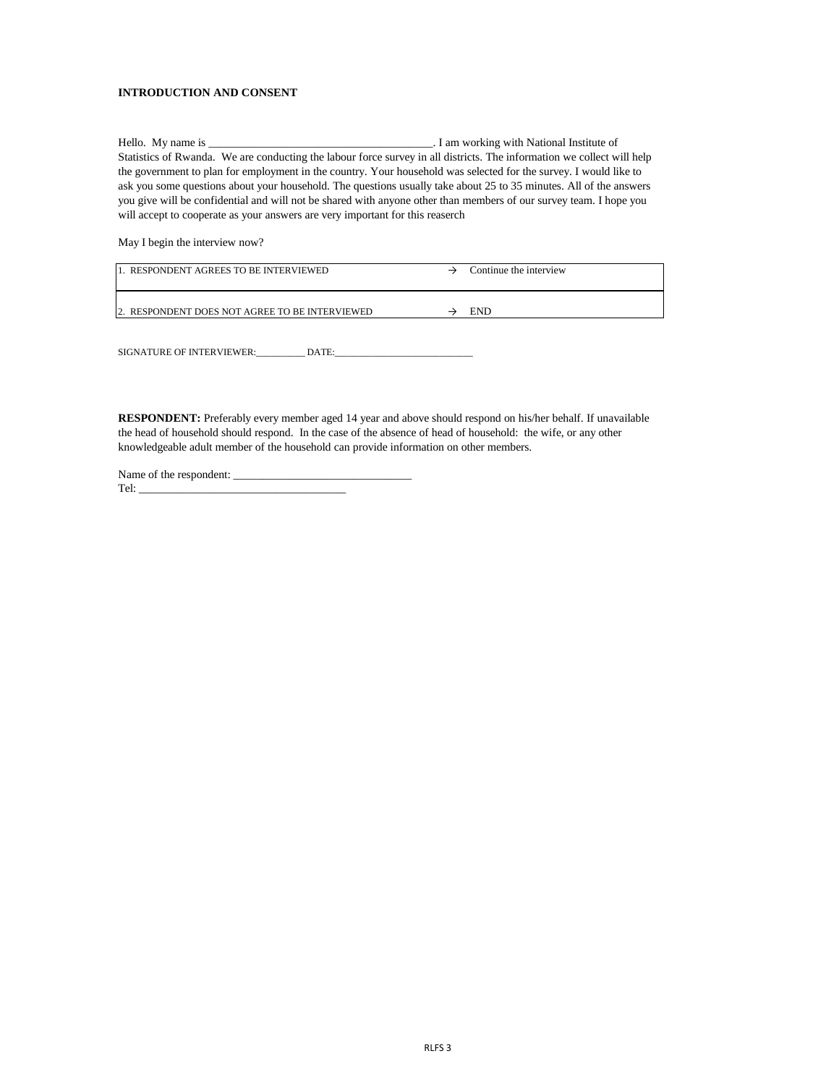#### **INTRODUCTION AND CONSENT**

May I begin the interview now?

| 11. RESPONDENT AGREES TO BE INTERVIEWED        | Continue the interview |
|------------------------------------------------|------------------------|
| 2. RESPONDENT DOES NOT AGREE TO BE INTERVIEWED | END                    |

SIGNATURE OF INTERVIEWER:\_\_\_\_\_\_\_\_\_\_\_\_\_\_\_\_\_\_\_\_\_\_\_\_\_\_\_\_\_\_ DATE:\_\_\_\_\_\_\_\_\_\_\_\_\_\_\_\_\_\_\_\_\_\_\_\_\_\_\_\_\_

| Name of the respondent: |  |
|-------------------------|--|
| Tel:                    |  |

**RESPONDENT:** Preferably every member aged 14 year and above should respond on his/her behalf. If unavailable the head of household should respond. In the case of the absence of head of household: the wife, or any other knowledgeable adult member of the household can provide information on other members.

Hello. My name is \_\_\_\_\_\_\_\_\_\_\_\_\_\_\_\_\_\_\_\_\_\_\_\_\_\_\_\_\_\_\_\_\_\_\_\_\_\_\_. I am working with National Institute of Statistics of Rwanda. We are conducting the labour force survey in all districts. The information we collect will help the government to plan for employment in the country. Your household was selected for the survey. I would like to ask you some questions about your household. The questions usually take about 25 to 35 minutes. All of the answers you give will be confidential and will not be shared with anyone other than members of our survey team. I hope you will accept to cooperate as your answers are very important for this reaserch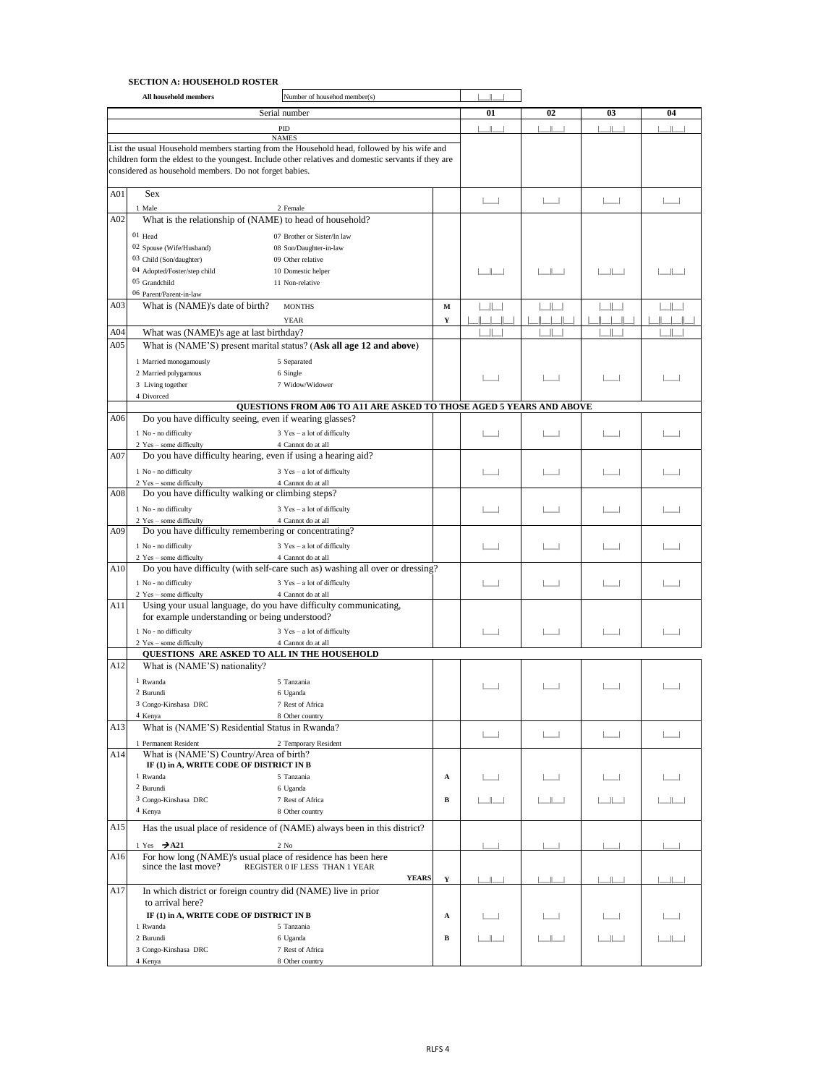#### **SECTION A: HOUSEHOLD ROSTER**

| 01<br>02<br>Serial number<br>03<br>04<br><b>PID</b><br><b>NAMES</b><br>List the usual Household members starting from the Household head, followed by his wife and<br>children form the eldest to the youngest. Include other relatives and domestic servants if they are<br>considered as household members. Do not forget babies.<br><b>Sex</b><br>A01<br>1 Male<br>2 Female<br>A02<br>What is the relationship of (NAME) to head of household?<br>01 Head<br>07 Brother or Sister/In law<br>02 Spouse (Wife/Husband)<br>08 Son/Daughter-in-law<br>03 Child (Son/daughter)<br>09 Other relative<br>04 Adopted/Foster/step child<br>10 Domestic helper<br>05 Grandchild<br>11 Non-relative<br>06 Parent/Parent-in-law<br>A03<br>What is (NAME)'s date of birth?<br><b>MONTHS</b><br>M<br><b>YEAR</b><br>Y<br>A04<br>What was (NAME)'s age at last birthday?<br>A05<br>What is (NAME'S) present marital status? (Ask all age 12 and above)<br>1 Married monogamously<br>5 Separated<br>2 Married polygamous<br>6 Single<br>3 Living together<br>7 Widow/Widower<br>4 Divorced<br>QUESTIONS FROM A06 TO A11 ARE ASKED TO THOSE AGED 5 YEARS AND ABOVE<br>Do you have difficulty seeing, even if wearing glasses?<br>A06<br>1 No - no difficulty<br>$3$ Yes – a lot of difficulty<br>2 Yes - some difficulty<br>4 Cannot do at all<br>Do you have difficulty hearing, even if using a hearing aid?<br>A07<br>1 No - no difficulty<br>$3$ Yes – a lot of difficulty<br>2 Yes - some difficulty<br>4 Cannot do at all<br>Do you have difficulty walking or climbing steps?<br>A08<br>1 No - no difficulty<br>$3$ Yes – a lot of difficulty<br>2 Yes - some difficulty<br>4 Cannot do at all<br>Do you have difficulty remembering or concentrating?<br>A09<br>1 No - no difficulty<br>$3$ Yes – a lot of difficulty<br>2 Yes – some difficulty<br>4 Cannot do at all<br>Do you have difficulty (with self-care such as) washing all over or dressing?<br>1 No - no difficulty<br>$3$ Yes – a lot of difficulty<br>2 Yes - some difficulty<br>4 Cannot do at all<br>Using your usual language, do you have difficulty communicating,<br>A11<br>for example understanding or being understood?<br>1 No - no difficulty<br>$3$ Yes – a lot of difficulty<br>2 Yes - some difficulty<br>4 Cannot do at all<br>QUESTIONS ARE ASKED TO ALL IN THE HOUSEHOLD<br>A12<br>What is (NAME'S) nationality?<br>1 Rwanda<br>5 Tanzania<br>2 Burundi<br>6 Uganda<br>3 Congo-Kinshasa DRC<br>7 Rest of Africa<br>4 Kenya<br>8 Other country<br>What is (NAME'S) Residential Status in Rwanda?<br>1 Permanent Resident<br>2 Temporary Resident<br>What is (NAME'S) Country/Area of birth?<br>A14<br>IF (1) in A, WRITE CODE OF DISTRICT IN B<br>1 Rwanda<br>5 Tanzania<br>A<br>2 Burundi<br>6 Uganda<br>3 Congo-Kinshasa DRC<br>7 Rest of Africa<br>B<br>4 Kenya<br>8 Other country<br>A15<br>Has the usual place of residence of (NAME) always been in this district?<br>1 Yes $\rightarrow$ A21<br>$2$ No<br>A16<br>For how long (NAME)'s usual place of residence has been here<br>since the last move?<br>REGISTER 0 IF LESS THAN 1 YEAR<br><b>YEARS</b><br>$\mathbf Y$<br>A17<br>In which district or foreign country did (NAME) live in prior<br>to arrival here?<br>IF (1) in A, WRITE CODE OF DISTRICT IN B<br>A<br>1 Rwanda<br>5 Tanzania<br>2 Burundi<br>6 Uganda<br>B<br>3 Congo-Kinshasa DRC<br>7 Rest of Africa |     | All household members | Number of househod member(s) |  |  |  |
|--------------------------------------------------------------------------------------------------------------------------------------------------------------------------------------------------------------------------------------------------------------------------------------------------------------------------------------------------------------------------------------------------------------------------------------------------------------------------------------------------------------------------------------------------------------------------------------------------------------------------------------------------------------------------------------------------------------------------------------------------------------------------------------------------------------------------------------------------------------------------------------------------------------------------------------------------------------------------------------------------------------------------------------------------------------------------------------------------------------------------------------------------------------------------------------------------------------------------------------------------------------------------------------------------------------------------------------------------------------------------------------------------------------------------------------------------------------------------------------------------------------------------------------------------------------------------------------------------------------------------------------------------------------------------------------------------------------------------------------------------------------------------------------------------------------------------------------------------------------------------------------------------------------------------------------------------------------------------------------------------------------------------------------------------------------------------------------------------------------------------------------------------------------------------------------------------------------------------------------------------------------------------------------------------------------------------------------------------------------------------------------------------------------------------------------------------------------------------------------------------------------------------------------------------------------------------------------------------------------------------------------------------------------------------------------------------------------------------------------------------------------------------------------------------------------------------------------------------------------------------------------------------------------------------------------------------------------------------------------------------------------------------------------------------------------------------------------------------------------------------------------------------------------------------------------------------------------------------------------------------------------------------------------------------------------------------------------------------------------------------------------------------------|-----|-----------------------|------------------------------|--|--|--|
|                                                                                                                                                                                                                                                                                                                                                                                                                                                                                                                                                                                                                                                                                                                                                                                                                                                                                                                                                                                                                                                                                                                                                                                                                                                                                                                                                                                                                                                                                                                                                                                                                                                                                                                                                                                                                                                                                                                                                                                                                                                                                                                                                                                                                                                                                                                                                                                                                                                                                                                                                                                                                                                                                                                                                                                                                                                                                                                                                                                                                                                                                                                                                                                                                                                                                                                                                                                                        |     |                       |                              |  |  |  |
|                                                                                                                                                                                                                                                                                                                                                                                                                                                                                                                                                                                                                                                                                                                                                                                                                                                                                                                                                                                                                                                                                                                                                                                                                                                                                                                                                                                                                                                                                                                                                                                                                                                                                                                                                                                                                                                                                                                                                                                                                                                                                                                                                                                                                                                                                                                                                                                                                                                                                                                                                                                                                                                                                                                                                                                                                                                                                                                                                                                                                                                                                                                                                                                                                                                                                                                                                                                                        |     |                       |                              |  |  |  |
|                                                                                                                                                                                                                                                                                                                                                                                                                                                                                                                                                                                                                                                                                                                                                                                                                                                                                                                                                                                                                                                                                                                                                                                                                                                                                                                                                                                                                                                                                                                                                                                                                                                                                                                                                                                                                                                                                                                                                                                                                                                                                                                                                                                                                                                                                                                                                                                                                                                                                                                                                                                                                                                                                                                                                                                                                                                                                                                                                                                                                                                                                                                                                                                                                                                                                                                                                                                                        |     |                       |                              |  |  |  |
|                                                                                                                                                                                                                                                                                                                                                                                                                                                                                                                                                                                                                                                                                                                                                                                                                                                                                                                                                                                                                                                                                                                                                                                                                                                                                                                                                                                                                                                                                                                                                                                                                                                                                                                                                                                                                                                                                                                                                                                                                                                                                                                                                                                                                                                                                                                                                                                                                                                                                                                                                                                                                                                                                                                                                                                                                                                                                                                                                                                                                                                                                                                                                                                                                                                                                                                                                                                                        |     |                       |                              |  |  |  |
|                                                                                                                                                                                                                                                                                                                                                                                                                                                                                                                                                                                                                                                                                                                                                                                                                                                                                                                                                                                                                                                                                                                                                                                                                                                                                                                                                                                                                                                                                                                                                                                                                                                                                                                                                                                                                                                                                                                                                                                                                                                                                                                                                                                                                                                                                                                                                                                                                                                                                                                                                                                                                                                                                                                                                                                                                                                                                                                                                                                                                                                                                                                                                                                                                                                                                                                                                                                                        |     |                       |                              |  |  |  |
|                                                                                                                                                                                                                                                                                                                                                                                                                                                                                                                                                                                                                                                                                                                                                                                                                                                                                                                                                                                                                                                                                                                                                                                                                                                                                                                                                                                                                                                                                                                                                                                                                                                                                                                                                                                                                                                                                                                                                                                                                                                                                                                                                                                                                                                                                                                                                                                                                                                                                                                                                                                                                                                                                                                                                                                                                                                                                                                                                                                                                                                                                                                                                                                                                                                                                                                                                                                                        |     |                       |                              |  |  |  |
|                                                                                                                                                                                                                                                                                                                                                                                                                                                                                                                                                                                                                                                                                                                                                                                                                                                                                                                                                                                                                                                                                                                                                                                                                                                                                                                                                                                                                                                                                                                                                                                                                                                                                                                                                                                                                                                                                                                                                                                                                                                                                                                                                                                                                                                                                                                                                                                                                                                                                                                                                                                                                                                                                                                                                                                                                                                                                                                                                                                                                                                                                                                                                                                                                                                                                                                                                                                                        |     |                       |                              |  |  |  |
|                                                                                                                                                                                                                                                                                                                                                                                                                                                                                                                                                                                                                                                                                                                                                                                                                                                                                                                                                                                                                                                                                                                                                                                                                                                                                                                                                                                                                                                                                                                                                                                                                                                                                                                                                                                                                                                                                                                                                                                                                                                                                                                                                                                                                                                                                                                                                                                                                                                                                                                                                                                                                                                                                                                                                                                                                                                                                                                                                                                                                                                                                                                                                                                                                                                                                                                                                                                                        |     |                       |                              |  |  |  |
|                                                                                                                                                                                                                                                                                                                                                                                                                                                                                                                                                                                                                                                                                                                                                                                                                                                                                                                                                                                                                                                                                                                                                                                                                                                                                                                                                                                                                                                                                                                                                                                                                                                                                                                                                                                                                                                                                                                                                                                                                                                                                                                                                                                                                                                                                                                                                                                                                                                                                                                                                                                                                                                                                                                                                                                                                                                                                                                                                                                                                                                                                                                                                                                                                                                                                                                                                                                                        |     |                       |                              |  |  |  |
|                                                                                                                                                                                                                                                                                                                                                                                                                                                                                                                                                                                                                                                                                                                                                                                                                                                                                                                                                                                                                                                                                                                                                                                                                                                                                                                                                                                                                                                                                                                                                                                                                                                                                                                                                                                                                                                                                                                                                                                                                                                                                                                                                                                                                                                                                                                                                                                                                                                                                                                                                                                                                                                                                                                                                                                                                                                                                                                                                                                                                                                                                                                                                                                                                                                                                                                                                                                                        |     |                       |                              |  |  |  |
|                                                                                                                                                                                                                                                                                                                                                                                                                                                                                                                                                                                                                                                                                                                                                                                                                                                                                                                                                                                                                                                                                                                                                                                                                                                                                                                                                                                                                                                                                                                                                                                                                                                                                                                                                                                                                                                                                                                                                                                                                                                                                                                                                                                                                                                                                                                                                                                                                                                                                                                                                                                                                                                                                                                                                                                                                                                                                                                                                                                                                                                                                                                                                                                                                                                                                                                                                                                                        |     |                       |                              |  |  |  |
|                                                                                                                                                                                                                                                                                                                                                                                                                                                                                                                                                                                                                                                                                                                                                                                                                                                                                                                                                                                                                                                                                                                                                                                                                                                                                                                                                                                                                                                                                                                                                                                                                                                                                                                                                                                                                                                                                                                                                                                                                                                                                                                                                                                                                                                                                                                                                                                                                                                                                                                                                                                                                                                                                                                                                                                                                                                                                                                                                                                                                                                                                                                                                                                                                                                                                                                                                                                                        |     |                       |                              |  |  |  |
|                                                                                                                                                                                                                                                                                                                                                                                                                                                                                                                                                                                                                                                                                                                                                                                                                                                                                                                                                                                                                                                                                                                                                                                                                                                                                                                                                                                                                                                                                                                                                                                                                                                                                                                                                                                                                                                                                                                                                                                                                                                                                                                                                                                                                                                                                                                                                                                                                                                                                                                                                                                                                                                                                                                                                                                                                                                                                                                                                                                                                                                                                                                                                                                                                                                                                                                                                                                                        |     |                       |                              |  |  |  |
|                                                                                                                                                                                                                                                                                                                                                                                                                                                                                                                                                                                                                                                                                                                                                                                                                                                                                                                                                                                                                                                                                                                                                                                                                                                                                                                                                                                                                                                                                                                                                                                                                                                                                                                                                                                                                                                                                                                                                                                                                                                                                                                                                                                                                                                                                                                                                                                                                                                                                                                                                                                                                                                                                                                                                                                                                                                                                                                                                                                                                                                                                                                                                                                                                                                                                                                                                                                                        |     |                       |                              |  |  |  |
|                                                                                                                                                                                                                                                                                                                                                                                                                                                                                                                                                                                                                                                                                                                                                                                                                                                                                                                                                                                                                                                                                                                                                                                                                                                                                                                                                                                                                                                                                                                                                                                                                                                                                                                                                                                                                                                                                                                                                                                                                                                                                                                                                                                                                                                                                                                                                                                                                                                                                                                                                                                                                                                                                                                                                                                                                                                                                                                                                                                                                                                                                                                                                                                                                                                                                                                                                                                                        |     |                       |                              |  |  |  |
|                                                                                                                                                                                                                                                                                                                                                                                                                                                                                                                                                                                                                                                                                                                                                                                                                                                                                                                                                                                                                                                                                                                                                                                                                                                                                                                                                                                                                                                                                                                                                                                                                                                                                                                                                                                                                                                                                                                                                                                                                                                                                                                                                                                                                                                                                                                                                                                                                                                                                                                                                                                                                                                                                                                                                                                                                                                                                                                                                                                                                                                                                                                                                                                                                                                                                                                                                                                                        |     |                       |                              |  |  |  |
|                                                                                                                                                                                                                                                                                                                                                                                                                                                                                                                                                                                                                                                                                                                                                                                                                                                                                                                                                                                                                                                                                                                                                                                                                                                                                                                                                                                                                                                                                                                                                                                                                                                                                                                                                                                                                                                                                                                                                                                                                                                                                                                                                                                                                                                                                                                                                                                                                                                                                                                                                                                                                                                                                                                                                                                                                                                                                                                                                                                                                                                                                                                                                                                                                                                                                                                                                                                                        |     |                       |                              |  |  |  |
|                                                                                                                                                                                                                                                                                                                                                                                                                                                                                                                                                                                                                                                                                                                                                                                                                                                                                                                                                                                                                                                                                                                                                                                                                                                                                                                                                                                                                                                                                                                                                                                                                                                                                                                                                                                                                                                                                                                                                                                                                                                                                                                                                                                                                                                                                                                                                                                                                                                                                                                                                                                                                                                                                                                                                                                                                                                                                                                                                                                                                                                                                                                                                                                                                                                                                                                                                                                                        |     |                       |                              |  |  |  |
|                                                                                                                                                                                                                                                                                                                                                                                                                                                                                                                                                                                                                                                                                                                                                                                                                                                                                                                                                                                                                                                                                                                                                                                                                                                                                                                                                                                                                                                                                                                                                                                                                                                                                                                                                                                                                                                                                                                                                                                                                                                                                                                                                                                                                                                                                                                                                                                                                                                                                                                                                                                                                                                                                                                                                                                                                                                                                                                                                                                                                                                                                                                                                                                                                                                                                                                                                                                                        |     |                       |                              |  |  |  |
|                                                                                                                                                                                                                                                                                                                                                                                                                                                                                                                                                                                                                                                                                                                                                                                                                                                                                                                                                                                                                                                                                                                                                                                                                                                                                                                                                                                                                                                                                                                                                                                                                                                                                                                                                                                                                                                                                                                                                                                                                                                                                                                                                                                                                                                                                                                                                                                                                                                                                                                                                                                                                                                                                                                                                                                                                                                                                                                                                                                                                                                                                                                                                                                                                                                                                                                                                                                                        |     |                       |                              |  |  |  |
|                                                                                                                                                                                                                                                                                                                                                                                                                                                                                                                                                                                                                                                                                                                                                                                                                                                                                                                                                                                                                                                                                                                                                                                                                                                                                                                                                                                                                                                                                                                                                                                                                                                                                                                                                                                                                                                                                                                                                                                                                                                                                                                                                                                                                                                                                                                                                                                                                                                                                                                                                                                                                                                                                                                                                                                                                                                                                                                                                                                                                                                                                                                                                                                                                                                                                                                                                                                                        |     |                       |                              |  |  |  |
|                                                                                                                                                                                                                                                                                                                                                                                                                                                                                                                                                                                                                                                                                                                                                                                                                                                                                                                                                                                                                                                                                                                                                                                                                                                                                                                                                                                                                                                                                                                                                                                                                                                                                                                                                                                                                                                                                                                                                                                                                                                                                                                                                                                                                                                                                                                                                                                                                                                                                                                                                                                                                                                                                                                                                                                                                                                                                                                                                                                                                                                                                                                                                                                                                                                                                                                                                                                                        |     |                       |                              |  |  |  |
|                                                                                                                                                                                                                                                                                                                                                                                                                                                                                                                                                                                                                                                                                                                                                                                                                                                                                                                                                                                                                                                                                                                                                                                                                                                                                                                                                                                                                                                                                                                                                                                                                                                                                                                                                                                                                                                                                                                                                                                                                                                                                                                                                                                                                                                                                                                                                                                                                                                                                                                                                                                                                                                                                                                                                                                                                                                                                                                                                                                                                                                                                                                                                                                                                                                                                                                                                                                                        |     |                       |                              |  |  |  |
|                                                                                                                                                                                                                                                                                                                                                                                                                                                                                                                                                                                                                                                                                                                                                                                                                                                                                                                                                                                                                                                                                                                                                                                                                                                                                                                                                                                                                                                                                                                                                                                                                                                                                                                                                                                                                                                                                                                                                                                                                                                                                                                                                                                                                                                                                                                                                                                                                                                                                                                                                                                                                                                                                                                                                                                                                                                                                                                                                                                                                                                                                                                                                                                                                                                                                                                                                                                                        |     |                       |                              |  |  |  |
|                                                                                                                                                                                                                                                                                                                                                                                                                                                                                                                                                                                                                                                                                                                                                                                                                                                                                                                                                                                                                                                                                                                                                                                                                                                                                                                                                                                                                                                                                                                                                                                                                                                                                                                                                                                                                                                                                                                                                                                                                                                                                                                                                                                                                                                                                                                                                                                                                                                                                                                                                                                                                                                                                                                                                                                                                                                                                                                                                                                                                                                                                                                                                                                                                                                                                                                                                                                                        |     |                       |                              |  |  |  |
|                                                                                                                                                                                                                                                                                                                                                                                                                                                                                                                                                                                                                                                                                                                                                                                                                                                                                                                                                                                                                                                                                                                                                                                                                                                                                                                                                                                                                                                                                                                                                                                                                                                                                                                                                                                                                                                                                                                                                                                                                                                                                                                                                                                                                                                                                                                                                                                                                                                                                                                                                                                                                                                                                                                                                                                                                                                                                                                                                                                                                                                                                                                                                                                                                                                                                                                                                                                                        |     |                       |                              |  |  |  |
|                                                                                                                                                                                                                                                                                                                                                                                                                                                                                                                                                                                                                                                                                                                                                                                                                                                                                                                                                                                                                                                                                                                                                                                                                                                                                                                                                                                                                                                                                                                                                                                                                                                                                                                                                                                                                                                                                                                                                                                                                                                                                                                                                                                                                                                                                                                                                                                                                                                                                                                                                                                                                                                                                                                                                                                                                                                                                                                                                                                                                                                                                                                                                                                                                                                                                                                                                                                                        |     |                       |                              |  |  |  |
|                                                                                                                                                                                                                                                                                                                                                                                                                                                                                                                                                                                                                                                                                                                                                                                                                                                                                                                                                                                                                                                                                                                                                                                                                                                                                                                                                                                                                                                                                                                                                                                                                                                                                                                                                                                                                                                                                                                                                                                                                                                                                                                                                                                                                                                                                                                                                                                                                                                                                                                                                                                                                                                                                                                                                                                                                                                                                                                                                                                                                                                                                                                                                                                                                                                                                                                                                                                                        |     |                       |                              |  |  |  |
|                                                                                                                                                                                                                                                                                                                                                                                                                                                                                                                                                                                                                                                                                                                                                                                                                                                                                                                                                                                                                                                                                                                                                                                                                                                                                                                                                                                                                                                                                                                                                                                                                                                                                                                                                                                                                                                                                                                                                                                                                                                                                                                                                                                                                                                                                                                                                                                                                                                                                                                                                                                                                                                                                                                                                                                                                                                                                                                                                                                                                                                                                                                                                                                                                                                                                                                                                                                                        |     |                       |                              |  |  |  |
|                                                                                                                                                                                                                                                                                                                                                                                                                                                                                                                                                                                                                                                                                                                                                                                                                                                                                                                                                                                                                                                                                                                                                                                                                                                                                                                                                                                                                                                                                                                                                                                                                                                                                                                                                                                                                                                                                                                                                                                                                                                                                                                                                                                                                                                                                                                                                                                                                                                                                                                                                                                                                                                                                                                                                                                                                                                                                                                                                                                                                                                                                                                                                                                                                                                                                                                                                                                                        |     |                       |                              |  |  |  |
|                                                                                                                                                                                                                                                                                                                                                                                                                                                                                                                                                                                                                                                                                                                                                                                                                                                                                                                                                                                                                                                                                                                                                                                                                                                                                                                                                                                                                                                                                                                                                                                                                                                                                                                                                                                                                                                                                                                                                                                                                                                                                                                                                                                                                                                                                                                                                                                                                                                                                                                                                                                                                                                                                                                                                                                                                                                                                                                                                                                                                                                                                                                                                                                                                                                                                                                                                                                                        |     |                       |                              |  |  |  |
|                                                                                                                                                                                                                                                                                                                                                                                                                                                                                                                                                                                                                                                                                                                                                                                                                                                                                                                                                                                                                                                                                                                                                                                                                                                                                                                                                                                                                                                                                                                                                                                                                                                                                                                                                                                                                                                                                                                                                                                                                                                                                                                                                                                                                                                                                                                                                                                                                                                                                                                                                                                                                                                                                                                                                                                                                                                                                                                                                                                                                                                                                                                                                                                                                                                                                                                                                                                                        |     |                       |                              |  |  |  |
|                                                                                                                                                                                                                                                                                                                                                                                                                                                                                                                                                                                                                                                                                                                                                                                                                                                                                                                                                                                                                                                                                                                                                                                                                                                                                                                                                                                                                                                                                                                                                                                                                                                                                                                                                                                                                                                                                                                                                                                                                                                                                                                                                                                                                                                                                                                                                                                                                                                                                                                                                                                                                                                                                                                                                                                                                                                                                                                                                                                                                                                                                                                                                                                                                                                                                                                                                                                                        |     |                       |                              |  |  |  |
|                                                                                                                                                                                                                                                                                                                                                                                                                                                                                                                                                                                                                                                                                                                                                                                                                                                                                                                                                                                                                                                                                                                                                                                                                                                                                                                                                                                                                                                                                                                                                                                                                                                                                                                                                                                                                                                                                                                                                                                                                                                                                                                                                                                                                                                                                                                                                                                                                                                                                                                                                                                                                                                                                                                                                                                                                                                                                                                                                                                                                                                                                                                                                                                                                                                                                                                                                                                                        |     |                       |                              |  |  |  |
|                                                                                                                                                                                                                                                                                                                                                                                                                                                                                                                                                                                                                                                                                                                                                                                                                                                                                                                                                                                                                                                                                                                                                                                                                                                                                                                                                                                                                                                                                                                                                                                                                                                                                                                                                                                                                                                                                                                                                                                                                                                                                                                                                                                                                                                                                                                                                                                                                                                                                                                                                                                                                                                                                                                                                                                                                                                                                                                                                                                                                                                                                                                                                                                                                                                                                                                                                                                                        |     |                       |                              |  |  |  |
|                                                                                                                                                                                                                                                                                                                                                                                                                                                                                                                                                                                                                                                                                                                                                                                                                                                                                                                                                                                                                                                                                                                                                                                                                                                                                                                                                                                                                                                                                                                                                                                                                                                                                                                                                                                                                                                                                                                                                                                                                                                                                                                                                                                                                                                                                                                                                                                                                                                                                                                                                                                                                                                                                                                                                                                                                                                                                                                                                                                                                                                                                                                                                                                                                                                                                                                                                                                                        |     |                       |                              |  |  |  |
|                                                                                                                                                                                                                                                                                                                                                                                                                                                                                                                                                                                                                                                                                                                                                                                                                                                                                                                                                                                                                                                                                                                                                                                                                                                                                                                                                                                                                                                                                                                                                                                                                                                                                                                                                                                                                                                                                                                                                                                                                                                                                                                                                                                                                                                                                                                                                                                                                                                                                                                                                                                                                                                                                                                                                                                                                                                                                                                                                                                                                                                                                                                                                                                                                                                                                                                                                                                                        | A10 |                       |                              |  |  |  |
|                                                                                                                                                                                                                                                                                                                                                                                                                                                                                                                                                                                                                                                                                                                                                                                                                                                                                                                                                                                                                                                                                                                                                                                                                                                                                                                                                                                                                                                                                                                                                                                                                                                                                                                                                                                                                                                                                                                                                                                                                                                                                                                                                                                                                                                                                                                                                                                                                                                                                                                                                                                                                                                                                                                                                                                                                                                                                                                                                                                                                                                                                                                                                                                                                                                                                                                                                                                                        |     |                       |                              |  |  |  |
|                                                                                                                                                                                                                                                                                                                                                                                                                                                                                                                                                                                                                                                                                                                                                                                                                                                                                                                                                                                                                                                                                                                                                                                                                                                                                                                                                                                                                                                                                                                                                                                                                                                                                                                                                                                                                                                                                                                                                                                                                                                                                                                                                                                                                                                                                                                                                                                                                                                                                                                                                                                                                                                                                                                                                                                                                                                                                                                                                                                                                                                                                                                                                                                                                                                                                                                                                                                                        |     |                       |                              |  |  |  |
|                                                                                                                                                                                                                                                                                                                                                                                                                                                                                                                                                                                                                                                                                                                                                                                                                                                                                                                                                                                                                                                                                                                                                                                                                                                                                                                                                                                                                                                                                                                                                                                                                                                                                                                                                                                                                                                                                                                                                                                                                                                                                                                                                                                                                                                                                                                                                                                                                                                                                                                                                                                                                                                                                                                                                                                                                                                                                                                                                                                                                                                                                                                                                                                                                                                                                                                                                                                                        |     |                       |                              |  |  |  |
|                                                                                                                                                                                                                                                                                                                                                                                                                                                                                                                                                                                                                                                                                                                                                                                                                                                                                                                                                                                                                                                                                                                                                                                                                                                                                                                                                                                                                                                                                                                                                                                                                                                                                                                                                                                                                                                                                                                                                                                                                                                                                                                                                                                                                                                                                                                                                                                                                                                                                                                                                                                                                                                                                                                                                                                                                                                                                                                                                                                                                                                                                                                                                                                                                                                                                                                                                                                                        |     |                       |                              |  |  |  |
|                                                                                                                                                                                                                                                                                                                                                                                                                                                                                                                                                                                                                                                                                                                                                                                                                                                                                                                                                                                                                                                                                                                                                                                                                                                                                                                                                                                                                                                                                                                                                                                                                                                                                                                                                                                                                                                                                                                                                                                                                                                                                                                                                                                                                                                                                                                                                                                                                                                                                                                                                                                                                                                                                                                                                                                                                                                                                                                                                                                                                                                                                                                                                                                                                                                                                                                                                                                                        |     |                       |                              |  |  |  |
|                                                                                                                                                                                                                                                                                                                                                                                                                                                                                                                                                                                                                                                                                                                                                                                                                                                                                                                                                                                                                                                                                                                                                                                                                                                                                                                                                                                                                                                                                                                                                                                                                                                                                                                                                                                                                                                                                                                                                                                                                                                                                                                                                                                                                                                                                                                                                                                                                                                                                                                                                                                                                                                                                                                                                                                                                                                                                                                                                                                                                                                                                                                                                                                                                                                                                                                                                                                                        |     |                       |                              |  |  |  |
|                                                                                                                                                                                                                                                                                                                                                                                                                                                                                                                                                                                                                                                                                                                                                                                                                                                                                                                                                                                                                                                                                                                                                                                                                                                                                                                                                                                                                                                                                                                                                                                                                                                                                                                                                                                                                                                                                                                                                                                                                                                                                                                                                                                                                                                                                                                                                                                                                                                                                                                                                                                                                                                                                                                                                                                                                                                                                                                                                                                                                                                                                                                                                                                                                                                                                                                                                                                                        |     |                       |                              |  |  |  |
|                                                                                                                                                                                                                                                                                                                                                                                                                                                                                                                                                                                                                                                                                                                                                                                                                                                                                                                                                                                                                                                                                                                                                                                                                                                                                                                                                                                                                                                                                                                                                                                                                                                                                                                                                                                                                                                                                                                                                                                                                                                                                                                                                                                                                                                                                                                                                                                                                                                                                                                                                                                                                                                                                                                                                                                                                                                                                                                                                                                                                                                                                                                                                                                                                                                                                                                                                                                                        |     |                       |                              |  |  |  |
|                                                                                                                                                                                                                                                                                                                                                                                                                                                                                                                                                                                                                                                                                                                                                                                                                                                                                                                                                                                                                                                                                                                                                                                                                                                                                                                                                                                                                                                                                                                                                                                                                                                                                                                                                                                                                                                                                                                                                                                                                                                                                                                                                                                                                                                                                                                                                                                                                                                                                                                                                                                                                                                                                                                                                                                                                                                                                                                                                                                                                                                                                                                                                                                                                                                                                                                                                                                                        |     |                       |                              |  |  |  |
|                                                                                                                                                                                                                                                                                                                                                                                                                                                                                                                                                                                                                                                                                                                                                                                                                                                                                                                                                                                                                                                                                                                                                                                                                                                                                                                                                                                                                                                                                                                                                                                                                                                                                                                                                                                                                                                                                                                                                                                                                                                                                                                                                                                                                                                                                                                                                                                                                                                                                                                                                                                                                                                                                                                                                                                                                                                                                                                                                                                                                                                                                                                                                                                                                                                                                                                                                                                                        |     |                       |                              |  |  |  |
|                                                                                                                                                                                                                                                                                                                                                                                                                                                                                                                                                                                                                                                                                                                                                                                                                                                                                                                                                                                                                                                                                                                                                                                                                                                                                                                                                                                                                                                                                                                                                                                                                                                                                                                                                                                                                                                                                                                                                                                                                                                                                                                                                                                                                                                                                                                                                                                                                                                                                                                                                                                                                                                                                                                                                                                                                                                                                                                                                                                                                                                                                                                                                                                                                                                                                                                                                                                                        |     |                       |                              |  |  |  |
|                                                                                                                                                                                                                                                                                                                                                                                                                                                                                                                                                                                                                                                                                                                                                                                                                                                                                                                                                                                                                                                                                                                                                                                                                                                                                                                                                                                                                                                                                                                                                                                                                                                                                                                                                                                                                                                                                                                                                                                                                                                                                                                                                                                                                                                                                                                                                                                                                                                                                                                                                                                                                                                                                                                                                                                                                                                                                                                                                                                                                                                                                                                                                                                                                                                                                                                                                                                                        | A13 |                       |                              |  |  |  |
|                                                                                                                                                                                                                                                                                                                                                                                                                                                                                                                                                                                                                                                                                                                                                                                                                                                                                                                                                                                                                                                                                                                                                                                                                                                                                                                                                                                                                                                                                                                                                                                                                                                                                                                                                                                                                                                                                                                                                                                                                                                                                                                                                                                                                                                                                                                                                                                                                                                                                                                                                                                                                                                                                                                                                                                                                                                                                                                                                                                                                                                                                                                                                                                                                                                                                                                                                                                                        |     |                       |                              |  |  |  |
|                                                                                                                                                                                                                                                                                                                                                                                                                                                                                                                                                                                                                                                                                                                                                                                                                                                                                                                                                                                                                                                                                                                                                                                                                                                                                                                                                                                                                                                                                                                                                                                                                                                                                                                                                                                                                                                                                                                                                                                                                                                                                                                                                                                                                                                                                                                                                                                                                                                                                                                                                                                                                                                                                                                                                                                                                                                                                                                                                                                                                                                                                                                                                                                                                                                                                                                                                                                                        |     |                       |                              |  |  |  |
|                                                                                                                                                                                                                                                                                                                                                                                                                                                                                                                                                                                                                                                                                                                                                                                                                                                                                                                                                                                                                                                                                                                                                                                                                                                                                                                                                                                                                                                                                                                                                                                                                                                                                                                                                                                                                                                                                                                                                                                                                                                                                                                                                                                                                                                                                                                                                                                                                                                                                                                                                                                                                                                                                                                                                                                                                                                                                                                                                                                                                                                                                                                                                                                                                                                                                                                                                                                                        |     |                       |                              |  |  |  |
|                                                                                                                                                                                                                                                                                                                                                                                                                                                                                                                                                                                                                                                                                                                                                                                                                                                                                                                                                                                                                                                                                                                                                                                                                                                                                                                                                                                                                                                                                                                                                                                                                                                                                                                                                                                                                                                                                                                                                                                                                                                                                                                                                                                                                                                                                                                                                                                                                                                                                                                                                                                                                                                                                                                                                                                                                                                                                                                                                                                                                                                                                                                                                                                                                                                                                                                                                                                                        |     |                       |                              |  |  |  |
|                                                                                                                                                                                                                                                                                                                                                                                                                                                                                                                                                                                                                                                                                                                                                                                                                                                                                                                                                                                                                                                                                                                                                                                                                                                                                                                                                                                                                                                                                                                                                                                                                                                                                                                                                                                                                                                                                                                                                                                                                                                                                                                                                                                                                                                                                                                                                                                                                                                                                                                                                                                                                                                                                                                                                                                                                                                                                                                                                                                                                                                                                                                                                                                                                                                                                                                                                                                                        |     |                       |                              |  |  |  |
|                                                                                                                                                                                                                                                                                                                                                                                                                                                                                                                                                                                                                                                                                                                                                                                                                                                                                                                                                                                                                                                                                                                                                                                                                                                                                                                                                                                                                                                                                                                                                                                                                                                                                                                                                                                                                                                                                                                                                                                                                                                                                                                                                                                                                                                                                                                                                                                                                                                                                                                                                                                                                                                                                                                                                                                                                                                                                                                                                                                                                                                                                                                                                                                                                                                                                                                                                                                                        |     |                       |                              |  |  |  |
|                                                                                                                                                                                                                                                                                                                                                                                                                                                                                                                                                                                                                                                                                                                                                                                                                                                                                                                                                                                                                                                                                                                                                                                                                                                                                                                                                                                                                                                                                                                                                                                                                                                                                                                                                                                                                                                                                                                                                                                                                                                                                                                                                                                                                                                                                                                                                                                                                                                                                                                                                                                                                                                                                                                                                                                                                                                                                                                                                                                                                                                                                                                                                                                                                                                                                                                                                                                                        |     |                       |                              |  |  |  |
|                                                                                                                                                                                                                                                                                                                                                                                                                                                                                                                                                                                                                                                                                                                                                                                                                                                                                                                                                                                                                                                                                                                                                                                                                                                                                                                                                                                                                                                                                                                                                                                                                                                                                                                                                                                                                                                                                                                                                                                                                                                                                                                                                                                                                                                                                                                                                                                                                                                                                                                                                                                                                                                                                                                                                                                                                                                                                                                                                                                                                                                                                                                                                                                                                                                                                                                                                                                                        |     |                       |                              |  |  |  |
|                                                                                                                                                                                                                                                                                                                                                                                                                                                                                                                                                                                                                                                                                                                                                                                                                                                                                                                                                                                                                                                                                                                                                                                                                                                                                                                                                                                                                                                                                                                                                                                                                                                                                                                                                                                                                                                                                                                                                                                                                                                                                                                                                                                                                                                                                                                                                                                                                                                                                                                                                                                                                                                                                                                                                                                                                                                                                                                                                                                                                                                                                                                                                                                                                                                                                                                                                                                                        |     |                       |                              |  |  |  |
|                                                                                                                                                                                                                                                                                                                                                                                                                                                                                                                                                                                                                                                                                                                                                                                                                                                                                                                                                                                                                                                                                                                                                                                                                                                                                                                                                                                                                                                                                                                                                                                                                                                                                                                                                                                                                                                                                                                                                                                                                                                                                                                                                                                                                                                                                                                                                                                                                                                                                                                                                                                                                                                                                                                                                                                                                                                                                                                                                                                                                                                                                                                                                                                                                                                                                                                                                                                                        |     |                       |                              |  |  |  |
|                                                                                                                                                                                                                                                                                                                                                                                                                                                                                                                                                                                                                                                                                                                                                                                                                                                                                                                                                                                                                                                                                                                                                                                                                                                                                                                                                                                                                                                                                                                                                                                                                                                                                                                                                                                                                                                                                                                                                                                                                                                                                                                                                                                                                                                                                                                                                                                                                                                                                                                                                                                                                                                                                                                                                                                                                                                                                                                                                                                                                                                                                                                                                                                                                                                                                                                                                                                                        |     |                       |                              |  |  |  |
|                                                                                                                                                                                                                                                                                                                                                                                                                                                                                                                                                                                                                                                                                                                                                                                                                                                                                                                                                                                                                                                                                                                                                                                                                                                                                                                                                                                                                                                                                                                                                                                                                                                                                                                                                                                                                                                                                                                                                                                                                                                                                                                                                                                                                                                                                                                                                                                                                                                                                                                                                                                                                                                                                                                                                                                                                                                                                                                                                                                                                                                                                                                                                                                                                                                                                                                                                                                                        |     |                       |                              |  |  |  |
|                                                                                                                                                                                                                                                                                                                                                                                                                                                                                                                                                                                                                                                                                                                                                                                                                                                                                                                                                                                                                                                                                                                                                                                                                                                                                                                                                                                                                                                                                                                                                                                                                                                                                                                                                                                                                                                                                                                                                                                                                                                                                                                                                                                                                                                                                                                                                                                                                                                                                                                                                                                                                                                                                                                                                                                                                                                                                                                                                                                                                                                                                                                                                                                                                                                                                                                                                                                                        |     |                       |                              |  |  |  |
|                                                                                                                                                                                                                                                                                                                                                                                                                                                                                                                                                                                                                                                                                                                                                                                                                                                                                                                                                                                                                                                                                                                                                                                                                                                                                                                                                                                                                                                                                                                                                                                                                                                                                                                                                                                                                                                                                                                                                                                                                                                                                                                                                                                                                                                                                                                                                                                                                                                                                                                                                                                                                                                                                                                                                                                                                                                                                                                                                                                                                                                                                                                                                                                                                                                                                                                                                                                                        |     |                       |                              |  |  |  |
|                                                                                                                                                                                                                                                                                                                                                                                                                                                                                                                                                                                                                                                                                                                                                                                                                                                                                                                                                                                                                                                                                                                                                                                                                                                                                                                                                                                                                                                                                                                                                                                                                                                                                                                                                                                                                                                                                                                                                                                                                                                                                                                                                                                                                                                                                                                                                                                                                                                                                                                                                                                                                                                                                                                                                                                                                                                                                                                                                                                                                                                                                                                                                                                                                                                                                                                                                                                                        |     |                       |                              |  |  |  |
|                                                                                                                                                                                                                                                                                                                                                                                                                                                                                                                                                                                                                                                                                                                                                                                                                                                                                                                                                                                                                                                                                                                                                                                                                                                                                                                                                                                                                                                                                                                                                                                                                                                                                                                                                                                                                                                                                                                                                                                                                                                                                                                                                                                                                                                                                                                                                                                                                                                                                                                                                                                                                                                                                                                                                                                                                                                                                                                                                                                                                                                                                                                                                                                                                                                                                                                                                                                                        |     |                       |                              |  |  |  |
|                                                                                                                                                                                                                                                                                                                                                                                                                                                                                                                                                                                                                                                                                                                                                                                                                                                                                                                                                                                                                                                                                                                                                                                                                                                                                                                                                                                                                                                                                                                                                                                                                                                                                                                                                                                                                                                                                                                                                                                                                                                                                                                                                                                                                                                                                                                                                                                                                                                                                                                                                                                                                                                                                                                                                                                                                                                                                                                                                                                                                                                                                                                                                                                                                                                                                                                                                                                                        |     |                       |                              |  |  |  |
|                                                                                                                                                                                                                                                                                                                                                                                                                                                                                                                                                                                                                                                                                                                                                                                                                                                                                                                                                                                                                                                                                                                                                                                                                                                                                                                                                                                                                                                                                                                                                                                                                                                                                                                                                                                                                                                                                                                                                                                                                                                                                                                                                                                                                                                                                                                                                                                                                                                                                                                                                                                                                                                                                                                                                                                                                                                                                                                                                                                                                                                                                                                                                                                                                                                                                                                                                                                                        |     | 4 Kenya               | 8 Other country              |  |  |  |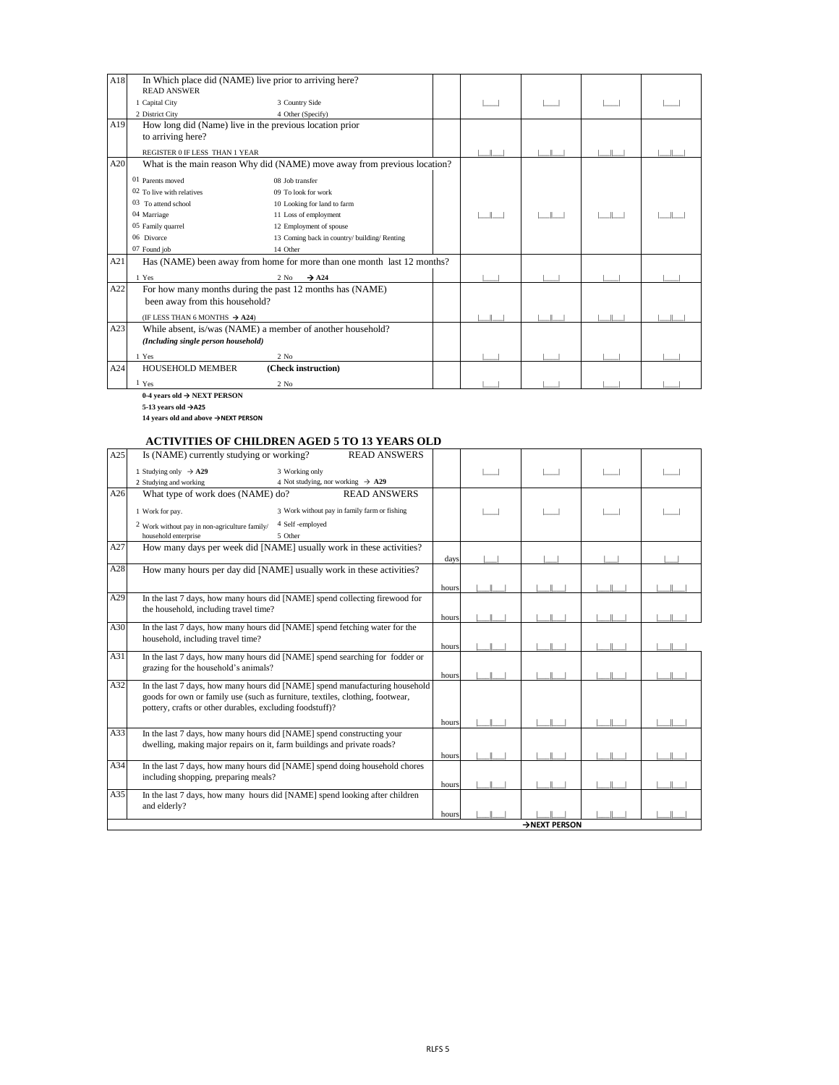| A18 | <b>READ ANSWER</b>                        | In Which place did (NAME) live prior to arriving here?                   |  |  |  |
|-----|-------------------------------------------|--------------------------------------------------------------------------|--|--|--|
|     |                                           |                                                                          |  |  |  |
|     | 1 Capital City                            | 3 Country Side                                                           |  |  |  |
|     | 2 District City                           | 4 Other (Specify)                                                        |  |  |  |
| A19 |                                           | How long did (Name) live in the previous location prior                  |  |  |  |
|     | to arriving here?                         |                                                                          |  |  |  |
|     | REGISTER 0 IF LESS THAN 1 YEAR            |                                                                          |  |  |  |
| A20 |                                           | What is the main reason Why did (NAME) move away from previous location? |  |  |  |
|     | 01 Parents moved                          | 08 Job transfer                                                          |  |  |  |
|     | 02 To live with relatives                 | 09 To look for work                                                      |  |  |  |
|     | 03 To attend school                       | 10 Looking for land to farm                                              |  |  |  |
|     | 04 Marriage                               | 11 Loss of employment                                                    |  |  |  |
|     | 05 Family quarrel                         | 12 Employment of spouse                                                  |  |  |  |
|     | 06 Divorce                                | 13 Coming back in country/ building/ Renting                             |  |  |  |
|     | 07 Found job                              | 14 Other                                                                 |  |  |  |
| A21 |                                           | Has (NAME) been away from home for more than one month last 12 months?   |  |  |  |
|     | 1 Yes                                     | $\rightarrow$ A24<br>$2$ No                                              |  |  |  |
| A22 |                                           | For how many months during the past 12 months has (NAME)                 |  |  |  |
|     | been away from this household?            |                                                                          |  |  |  |
|     | (IF LESS THAN 6 MONTHS $\rightarrow$ A24) |                                                                          |  |  |  |
| A23 |                                           | While absent, is/was (NAME) a member of another household?               |  |  |  |
|     |                                           |                                                                          |  |  |  |
|     | (Including single person household)       |                                                                          |  |  |  |
|     | 1 Yes                                     | $2$ No                                                                   |  |  |  |
| A24 | <b>HOUSEHOLD MEMBER</b>                   | (Check instruction)                                                      |  |  |  |
|     | $1 \text{Yes}$                            | $2$ No                                                                   |  |  |  |

**0-4 years old → NEXT PERSON**

**5-13 years old →A25**

**14 years old and above →NEXT PERSON**

## **ACTIVITIES OF CHILDREN AGED 5 TO 13 YEARS OLD**

| A25 | Is (NAME) currently studying or working?<br><b>READ ANSWERS</b>                                                                |       |  |  |  |  |  |  |  |  |
|-----|--------------------------------------------------------------------------------------------------------------------------------|-------|--|--|--|--|--|--|--|--|
|     | 1 Studying only $\rightarrow$ A29<br>3 Working only<br>2 Studying and working<br>4 Not studying, nor working $\rightarrow$ A29 |       |  |  |  |  |  |  |  |  |
| A26 | What type of work does (NAME) do?<br><b>READ ANSWERS</b>                                                                       |       |  |  |  |  |  |  |  |  |
|     |                                                                                                                                |       |  |  |  |  |  |  |  |  |
|     | 3 Work without pay in family farm or fishing<br>1 Work for pay.                                                                |       |  |  |  |  |  |  |  |  |
|     | 4 Self-employed<br>$2$ Work without pay in non-agriculture family/                                                             |       |  |  |  |  |  |  |  |  |
|     | household enterprise<br>5 Other                                                                                                |       |  |  |  |  |  |  |  |  |
| A27 | How many days per week did [NAME] usually work in these activities?                                                            |       |  |  |  |  |  |  |  |  |
|     |                                                                                                                                | days  |  |  |  |  |  |  |  |  |
| A28 | How many hours per day did [NAME] usually work in these activities?                                                            |       |  |  |  |  |  |  |  |  |
|     |                                                                                                                                | hours |  |  |  |  |  |  |  |  |
| A29 | In the last 7 days, how many hours did [NAME] spend collecting firewood for                                                    |       |  |  |  |  |  |  |  |  |
|     | the household, including travel time?                                                                                          |       |  |  |  |  |  |  |  |  |
|     |                                                                                                                                | hours |  |  |  |  |  |  |  |  |
| A30 | In the last 7 days, how many hours did [NAME] spend fetching water for the                                                     |       |  |  |  |  |  |  |  |  |
|     | household, including travel time?                                                                                              | hours |  |  |  |  |  |  |  |  |
| A31 | In the last 7 days, how many hours did [NAME] spend searching for fodder or                                                    |       |  |  |  |  |  |  |  |  |
|     | grazing for the household's animals?                                                                                           |       |  |  |  |  |  |  |  |  |
|     |                                                                                                                                | hours |  |  |  |  |  |  |  |  |
| A32 | In the last 7 days, how many hours did [NAME] spend manufacturing household                                                    |       |  |  |  |  |  |  |  |  |
|     | goods for own or family use (such as furniture, textiles, clothing, footwear,                                                  |       |  |  |  |  |  |  |  |  |
|     | pottery, crafts or other durables, excluding foodstuff)?                                                                       |       |  |  |  |  |  |  |  |  |
|     |                                                                                                                                | hours |  |  |  |  |  |  |  |  |

|     |                                                                                                                                                  |       | $\rightarrow$ NEXT PERSON |  |
|-----|--------------------------------------------------------------------------------------------------------------------------------------------------|-------|---------------------------|--|
|     | and elderly?                                                                                                                                     | hours |                           |  |
| A35 | In the last 7 days, how many hours did [NAME] spend looking after children                                                                       |       |                           |  |
| A34 | In the last 7 days, how many hours did [NAME] spend doing household chores<br>including shopping, preparing meals?                               | hours |                           |  |
| A33 | In the last 7 days, how many hours did [NAME] spend constructing your<br>dwelling, making major repairs on it, farm buildings and private roads? | hours |                           |  |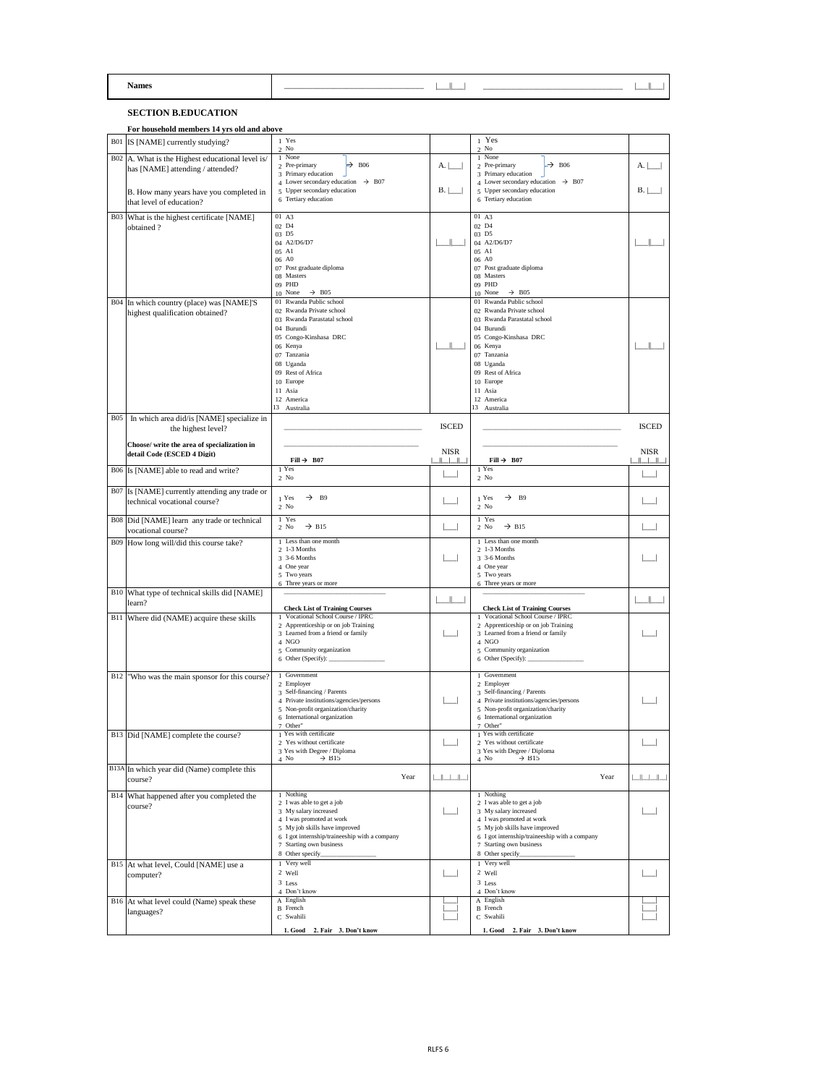|            | <b>Names</b>                                                                   |                                                                                |              |                                                                                           |              |
|------------|--------------------------------------------------------------------------------|--------------------------------------------------------------------------------|--------------|-------------------------------------------------------------------------------------------|--------------|
|            | <b>SECTION B.EDUCATION</b>                                                     |                                                                                |              |                                                                                           |              |
|            | For household members 14 yrs old and above                                     |                                                                                |              |                                                                                           |              |
|            | B01 IS [NAME] currently studying?                                              | 1 Yes                                                                          |              | 1 Yes                                                                                     |              |
|            | $B02$ A. What is the Highest educational level is/                             | $2$ No<br>1 None                                                               |              | $2$ No<br>1 None                                                                          |              |
|            | has [NAME] attending / attended?                                               | $\rightarrow$ B <sub>06</sub><br>2 Pre-primary<br>3 Primary education          | A.           | $\rightarrow$ B <sub>06</sub><br>2 Pre-primary<br>3 Primary education                     | A.           |
|            | B. How many years have you completed in                                        | 4 Lower secondary education $\rightarrow$ B07<br>5 Upper secondary education   | B.           | 4 Lower secondary education $\rightarrow$ B07<br>5 Upper secondary education              | <b>B.</b>    |
|            | that level of education?                                                       | 6 Tertiary education                                                           |              | 6 Tertiary education                                                                      |              |
|            | B03 What is the highest certificate [NAME]                                     | 01 A3<br>02 D4                                                                 |              | 01 A3<br>02 D4                                                                            |              |
|            | obtained?                                                                      | 03 D5                                                                          |              | 03 D5                                                                                     |              |
|            |                                                                                | 04 A2/D6/D7<br>05 A1                                                           |              | 04 A2/D6/D7<br>05 A1                                                                      |              |
|            |                                                                                | 06 A0<br>07 Post graduate diploma                                              |              | 06 A0<br>07 Post graduate diploma                                                         |              |
|            |                                                                                | 08 Masters<br>09 PHD                                                           |              | 08 Masters<br>09 PHD                                                                      |              |
|            | B04 In which country (place) was [NAME]'S                                      | 10 None<br>$\rightarrow$ B05<br>01 Rwanda Public school                        |              | 10 None<br>$\rightarrow$ B05<br>01 Rwanda Public school                                   |              |
|            | highest qualification obtained?                                                | 02 Rwanda Private school                                                       |              | 02 Rwanda Private school                                                                  |              |
|            |                                                                                | 03 Rwanda Parastatal school<br>04 Burundi                                      |              | 03 Rwanda Parastatal school<br>04 Burundi                                                 |              |
|            |                                                                                | 05 Congo-Kinshasa DRC<br>06 Kenya                                              |              | 05 Congo-Kinshasa DRC<br>06 Kenya                                                         |              |
|            |                                                                                | 07 Tanzania<br>08 Uganda                                                       |              | 07 Tanzania<br>08 Uganda                                                                  |              |
|            |                                                                                | 09 Rest of Africa                                                              |              | 09 Rest of Africa                                                                         |              |
|            |                                                                                | 10 Europe<br>11 Asia                                                           |              | 10 Europe<br>11 Asia                                                                      |              |
|            |                                                                                | 12 America<br>13 Australia                                                     |              | 12 America<br>13 Australia                                                                |              |
| <b>B05</b> | In which area did/is [NAME] specialize in                                      |                                                                                | <b>ISCED</b> |                                                                                           | <b>ISCED</b> |
|            | the highest level?                                                             |                                                                                |              |                                                                                           |              |
|            | Choose/ write the area of specialization in<br>detail Code (ESCED 4 Digit)     |                                                                                | <b>NISR</b>  |                                                                                           | <b>NISR</b>  |
|            | B06 Is [NAME] able to read and write?                                          | Fill $\rightarrow$ B07<br>1 Yes                                                | $\mathbf{1}$ | Fill $\rightarrow$ B07<br>1 Yes                                                           |              |
|            |                                                                                | $2$ No                                                                         |              | $2$ No                                                                                    |              |
|            | B07 Is [NAME] currently attending any trade or<br>technical vocational course? | $\rightarrow$ B9<br>1 Yes<br>$2$ No                                            |              | $\rightarrow$<br>1 Yes<br><b>B</b> 9<br>$2$ No                                            |              |
|            | B08   Did [NAME] learn any trade or technical<br>vocational course?            | 1 Yes<br>$\rightarrow$ B15<br>$2$ No                                           |              | 1 Yes<br>$\rightarrow$ B15<br>$2$ No                                                      |              |
|            | B09 How long will/did this course take?                                        | 1 Less than one month<br>$2\;1-3$ Months                                       |              | 1 Less than one month<br>$2\;1-3$ Months                                                  |              |
|            |                                                                                | $3-6$ Months<br>4 One year                                                     |              | 3 3-6 Months<br>4 One year                                                                |              |
|            |                                                                                | 5 Two years<br>6 Three years or more                                           |              | 5 Two years<br>6 Three years or more                                                      |              |
|            | B10   What type of technical skills did [NAME]                                 |                                                                                |              |                                                                                           |              |
|            | learn?                                                                         | <b>Check List of Training Courses</b><br>1 Vocational School Course / IPRC     |              | <b>Check List of Training Courses</b><br>1 Vocational School Course / IPRC                |              |
|            | B11 Where did (NAME) acquire these skills                                      | 2 Apprenticeship or on job Training                                            |              | 2 Apprenticeship or on job Training                                                       |              |
|            |                                                                                | 3 Learned from a friend or family<br>4 NGO                                     |              | 3 Learned from a friend or family<br>4 NGO                                                |              |
|            |                                                                                | 5 Community organization<br>6 Other (Specify): $\frac{1}{2}$ Other (Specify):  |              | 5 Community organization<br>6 Other (Specify): $\_\_\_\_\_\_\_\_\_\_\_\_\_\_\_\_\_\_\_\_$ |              |
|            | B12 Who was the main sponsor for this course?                                  | 1 Government                                                                   |              | 1 Government                                                                              |              |
|            |                                                                                | 2 Employer<br>3 Self-financing / Parents                                       |              | 2 Employer<br>3 Self-financing / Parents                                                  |              |
|            |                                                                                | 4 Private institutions/agencies/persons<br>5 Non-profit organization/charity   |              | 4 Private institutions/agencies/persons<br>5 Non-profit organization/charity              |              |
|            |                                                                                | 6 International organization<br>7 Other"                                       |              | 6 International organization<br>7 Other"                                                  |              |
|            | B13 Did [NAME] complete the course?                                            | 1 Yes with certificate<br>2 Yes without certificate                            |              | 1 Yes with certificate<br>2 Yes without certificate                                       |              |
|            |                                                                                | 3 Yes with Degree / Diploma                                                    |              | 3 Yes with Degree / Diploma                                                               |              |
|            | B13A In which year did (Name) complete this                                    | $\rightarrow$ B15<br>$4$ No                                                    |              | $\rightarrow$ B15<br>$4$ No                                                               |              |
|            | course?                                                                        | Year                                                                           | كالطاكا      | Year                                                                                      |              |
|            | B14 What happened after you completed the<br>course?                           | 1 Nothing<br>2 I was able to get a job                                         |              | 1 Nothing<br>2 I was able to get a job                                                    |              |
|            |                                                                                | 3 My salary increased<br>4 I was promoted at work                              |              | 3 My salary increased<br>4 I was promoted at work                                         |              |
|            |                                                                                | 5 My job skills have improved<br>6 I got internship/traineeship with a company |              | 5 My job skills have improved<br>6 I got internship/traineeship with a company            |              |
|            |                                                                                | 7 Starting own business<br>8 Other specify_                                    |              | 7 Starting own business<br>8 Other specify_                                               |              |
|            | B15 At what level, Could [NAME] use a                                          | 1 Very well                                                                    |              | 1 Very well                                                                               |              |
|            | computer?                                                                      | 2 Well<br>3 Less                                                               |              | 2 Well<br>3 Less                                                                          |              |
|            | B16 At what level could (Name) speak these                                     | 4 Don't know<br>A English                                                      |              | 4 Don't know<br>A English                                                                 |              |
|            | languages?                                                                     | <b>B</b> French<br>C Swahili                                                   |              | <b>B</b> French<br>C Swahili                                                              |              |
|            |                                                                                | 1. Good 2. Fair 3. Don't know                                                  |              | 1. Good 2. Fair 3. Don't know                                                             |              |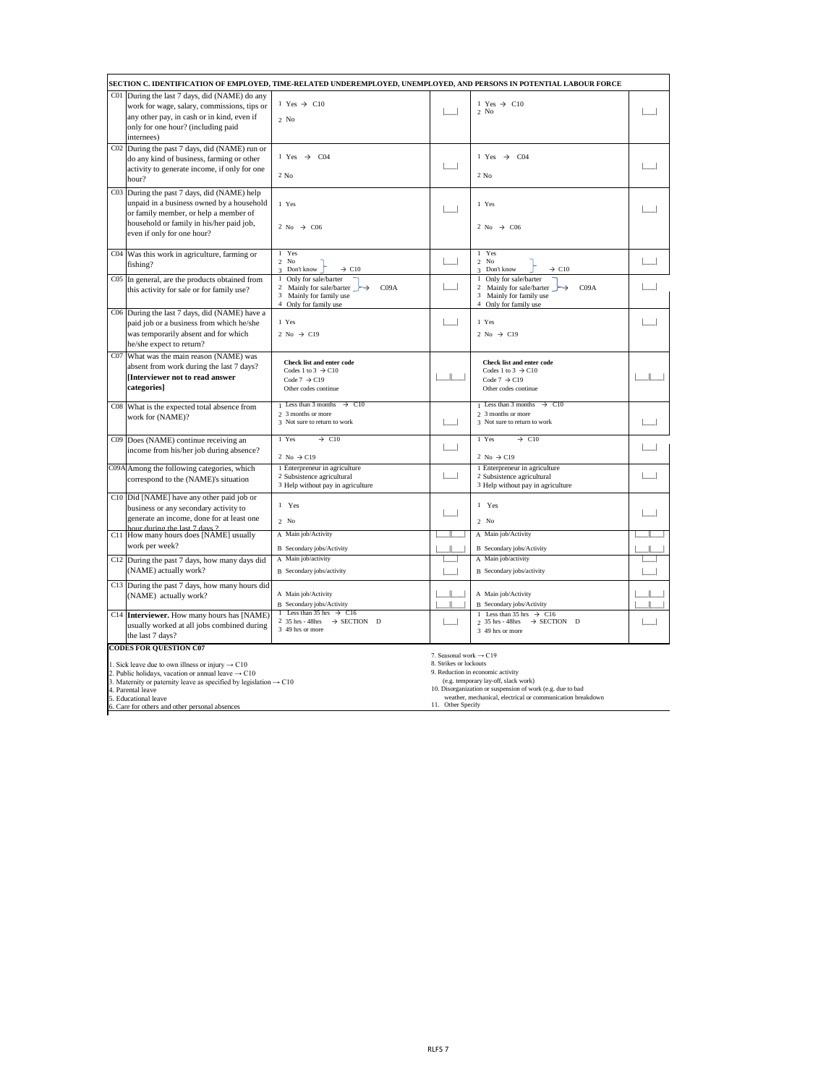|                                                                               | 7. Seasonal work $\rightarrow$ C19                         |
|-------------------------------------------------------------------------------|------------------------------------------------------------|
| 1. Sick leave due to own illness or injury $\rightarrow$ C10                  | 8. Strikes or lockouts                                     |
| 2. Public holidays, vacation or annual leave $\rightarrow$ C10                | 9. Reduction in economic activity                          |
| 3. Maternity or paternity leave as specified by legislation $\rightarrow$ C10 | (e.g. temporary lay-off, slack work)                       |
| 4. Parental leave                                                             | 10. Disorganization or suspension of work (e.g. due to bad |
| 5. Educational leave                                                          | weather, mechanical, electrical or communication breakdown |
| 6. Care for others and other personal absences                                | 11. Other Specify                                          |

| C01 During the last 7 days, did (NAME) do any                                                                                                                                                                                                                                                                                                                                            |  |
|------------------------------------------------------------------------------------------------------------------------------------------------------------------------------------------------------------------------------------------------------------------------------------------------------------------------------------------------------------------------------------------|--|
| 1 Yes $\rightarrow$ C10<br>1 Yes $\rightarrow$ C10<br>work for wage, salary, commissions, tips or<br>$2$ No<br>any other pay, in cash or in kind, even if<br>$2$ No<br>only for one hour? (including paid<br>internees)                                                                                                                                                                  |  |
| C02 During the past 7 days, did (NAME) run or<br>$\rightarrow$ C04<br>1 Yes<br>1 Yes $\rightarrow$<br>CO <sub>4</sub><br>do any kind of business, farming or other<br>activity to generate income, if only for one<br>$2$ No<br>$2$ No<br>hour?                                                                                                                                          |  |
| C03 During the past 7 days, did (NAME) help<br>unpaid in a business owned by a household<br>1 Yes<br>1 Yes<br>or family member, or help a member of<br>household or family in his/her paid job,<br>2 No $\rightarrow$ C06<br>2 No $\rightarrow$ C06<br>even if only for one hour?                                                                                                        |  |
| 1 Yes<br>1 Yes<br>C04 Was this work in agriculture, farming or<br>$2$ No<br>$2$ No<br>fishing?<br>$\rightarrow$ C10<br>$\rightarrow$ C10<br>3 Don't know<br>Don't know<br>$\mathcal{R}$                                                                                                                                                                                                  |  |
| $\cos$ In general, are the products obtained from<br>Only for sale/barter<br>Only for sale/barter<br>2 Mainly for sale/barter $\rightarrow$<br>CO9A<br>Mainly for sale/barter $\rightarrow$<br>CO9A<br>this activity for sale or for family use?<br>3 Mainly for family use<br>Mainly for family use<br>4 Only for family use<br>4 Only for family use                                   |  |
| C06 During the last 7 days, did (NAME) have a<br>1 Yes<br>1 Yes<br>paid job or a business from which he/she<br>was temporarily absent and for which<br>2 No $\rightarrow$ C19<br>2 No $\rightarrow$ C19<br>he/she expect to return?                                                                                                                                                      |  |
| C07 What was the main reason (NAME) was<br><b>Check list and enter code</b><br>Check list and enter code<br>absent from work during the last 7 days?<br>Codes 1 to 3 $\rightarrow$ C10<br>Codes 1 to 3 $\rightarrow$ C10<br><b>Interviewer not to read answer</b><br>Code 7 $\rightarrow$ C19<br>Code 7 $\rightarrow$ C19<br>categories]<br>Other codes continue<br>Other codes continue |  |
| Less than 3 months $\rightarrow$ C10<br>Less than 3 months $\rightarrow$ C10<br>C08 What is the expected total absence from<br>2 3 months or more<br>2 3 months or more<br>work for (NAME)?<br>3 Not sure to return to work<br>3 Not sure to return to work                                                                                                                              |  |
| $\rightarrow$ C10<br>$\rightarrow$ C10<br>1 Yes<br>1 Yes<br>C09 Does (NAME) continue receiving an<br>income from his/her job during absence?<br>2 No $\rightarrow$ C19<br>2 No $\rightarrow$ C19                                                                                                                                                                                         |  |
| C09A Among the following categories, which<br>1 Enterpreneur in agriculture<br>1 Enterpreneur in agriculture<br>2 Subsistence agricultural<br>2 Subsistence agricultural<br>correspond to the (NAME)'s situation<br>3 Help without pay in agriculture<br>3 Help without pay in agriculture                                                                                               |  |
| C <sub>10</sub> [Did [NAME] have any other paid job or<br>1 Yes<br>1 Yes<br>business or any secondary activity to<br>generate an income, done for at least one<br>$2$ No<br>$2$ No<br>hour during the last 7 days ?                                                                                                                                                                      |  |
| A Main job/Activity<br>A Main job/Activity<br>C11 How many hours does [NAME] usually<br>work per week?<br>B Secondary jobs/Activity<br>B Secondary jobs/Activity                                                                                                                                                                                                                         |  |
| A Main job/activity<br>A Main job/activity<br>C <sub>12</sub> During the past 7 days, how many days did<br>(NAME) actually work?<br><b>B</b> Secondary jobs/activity<br>B Secondary jobs/activity                                                                                                                                                                                        |  |
| C <sub>13</sub> During the past 7 days, how many hours did<br>A Main job/Activity<br>A Main job/Activity<br>(NAME) actually work?<br>B Secondary jobs/Activity<br>B Secondary jobs/Activity                                                                                                                                                                                              |  |
| Less than 35 hrs $\rightarrow$ C16<br>1 Less than 35 hrs $\rightarrow$ C16<br>C14 <b>Interviewer.</b> How many hours has [NAME)<br>2 35 hrs - 48 hrs $\rightarrow$ SECTION D<br>2 35 hrs - 48 hrs $\rightarrow$ SECTION D<br>usually worked at all jobs combined during<br>3 49 hrs or more<br>3 49 hrs or more<br>the last 7 days?<br><b>CODES FOR QUESTION C07</b>                     |  |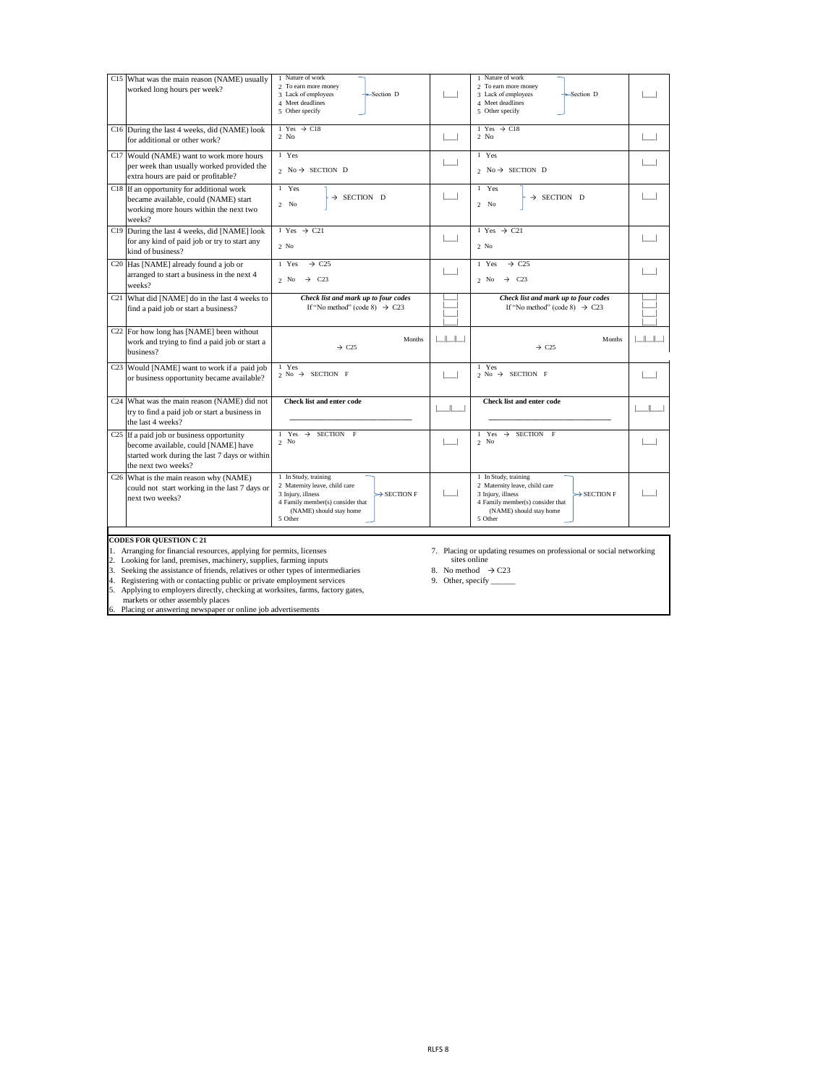- 
- 2. Looking for land, premises, machinery, supplies, farming inputs sites online sites online
- 3. Seeking the assistance of friends, relatives or other types of intermediaries 8. No method  $\rightarrow$  C23
- 4. Registering with or contacting public or private employment services 9. Other, specify \_\_\_\_\_\_
- 5. Applying to employers directly, checking at worksites, farms, factory gates, markets or other assembly places
- 6. Placing or answering newspaper or online job advertisements
- 1. Arranging for financial resources, applying for permits, licenses 7. Placing or updating resumes on professional or social networking
	-
	-

### **CODES FOR QUESTION C 21**

| C15 What was the main reason (NAME) usually<br>worked long hours per week?                                                                                           | 1 Nature of work<br>2 To earn more money<br>3 Lack of employees<br>$\rightarrow$ Section D<br>4 Meet deadlines<br>5 Other specify                                               |                         | 1 Nature of work<br>2 To earn more money<br>$\rightarrow$ Section D<br>3 Lack of employees<br>4 Meet deadlines<br>5 Other specify                                               |                               |
|----------------------------------------------------------------------------------------------------------------------------------------------------------------------|---------------------------------------------------------------------------------------------------------------------------------------------------------------------------------|-------------------------|---------------------------------------------------------------------------------------------------------------------------------------------------------------------------------|-------------------------------|
| C16 During the last 4 weeks, did (NAME) look<br>for additional or other work?                                                                                        | 1 Yes $\rightarrow$ C18<br>$2$ No                                                                                                                                               |                         | 1 Yes $\rightarrow$ C18<br>$2$ No                                                                                                                                               |                               |
| C <sub>17</sub> Would (NAME) want to work more hours<br>per week than usually worked provided the<br>extra hours are paid or profitable?                             | 1 Yes<br>2 No $\rightarrow$ SECTION D                                                                                                                                           |                         | 1 Yes<br>2 No $\rightarrow$ SECTION D                                                                                                                                           |                               |
| C <sub>18</sub> If an opportunity for additional work<br>became available, could (NAME) start<br>working more hours within the next two<br>weeks?                    | 1 Yes<br>$\rightarrow$ SECTION D<br>$2$ No                                                                                                                                      |                         | 1 Yes<br>$\rightarrow$ SECTION D<br>$2$ No                                                                                                                                      |                               |
| C <sub>19</sub> During the last 4 weeks, did [NAME] look<br>for any kind of paid job or try to start any<br>kind of business?                                        | 1 Yes $\rightarrow$ C21<br>$2$ No                                                                                                                                               |                         | 1 Yes $\rightarrow$ C21<br>$2$ No                                                                                                                                               |                               |
| C <sub>20</sub> Has [NAME] already found a job or<br>arranged to start a business in the next 4<br>weeks?                                                            | 1 Yes<br>$\rightarrow$ C <sub>25</sub><br>$\rightarrow$ C23<br>$2$ No                                                                                                           |                         | $\rightarrow$ C <sub>25</sub><br>1 Yes<br>$2$ No<br>$\rightarrow$ C23                                                                                                           |                               |
| C <sub>21</sub> What did [NAME] do in the last 4 weeks to<br>find a paid job or start a business?                                                                    | Check list and mark up to four codes<br>If "No method" (code 8) $\rightarrow$ C23                                                                                               |                         | Check list and mark up to four codes<br>If "No method" (code 8) $\rightarrow$ C23                                                                                               |                               |
| $C22$ For how long has [NAME] been without<br>work and trying to find a paid job or start a<br>business?                                                             | Months<br>$\rightarrow$ C <sub>25</sub>                                                                                                                                         | $\parallel$ $\parallel$ | Months<br>$\rightarrow$ C <sub>25</sub>                                                                                                                                         | $\mathbb{R}$ and $\mathbb{R}$ |
| C <sub>23</sub> Would [NAME] want to work if a paid job<br>or business opportunity became available?                                                                 | 1 Yes<br>$2$ No $\rightarrow$ SECTION F                                                                                                                                         |                         | 1 Yes<br>2 No $\rightarrow$ SECTION F                                                                                                                                           |                               |
| C <sub>24</sub> What was the main reason (NAME) did not<br>try to find a paid job or start a business in<br>the last 4 weeks?                                        | <b>Check list and enter code</b>                                                                                                                                                |                         | <b>Check list and enter code</b>                                                                                                                                                |                               |
| C <sub>25</sub> If a paid job or business opportunity<br>become available, could [NAME] have<br>started work during the last 7 days or within<br>the next two weeks? | Yes $\rightarrow$ SECTION F<br>$2$ No                                                                                                                                           |                         | SECTION F<br>$\rightarrow$<br>Yes<br>$2$ No                                                                                                                                     |                               |
| C <sub>26</sub> What is the main reason why (NAME)<br>could not start working in the last 7 days or<br>next two weeks?                                               | 1 In Study, training<br>2 Maternity leave, child care<br>$\rightarrow$ SECTION F<br>3 Injury, illness<br>4 Family member(s) consider that<br>(NAME) should stay home<br>5 Other |                         | 1 In Study, training<br>2 Maternity leave, child care<br>$\rightarrow$ SECTION F<br>3 Injury, illness<br>4 Family member(s) consider that<br>(NAME) should stay home<br>5 Other |                               |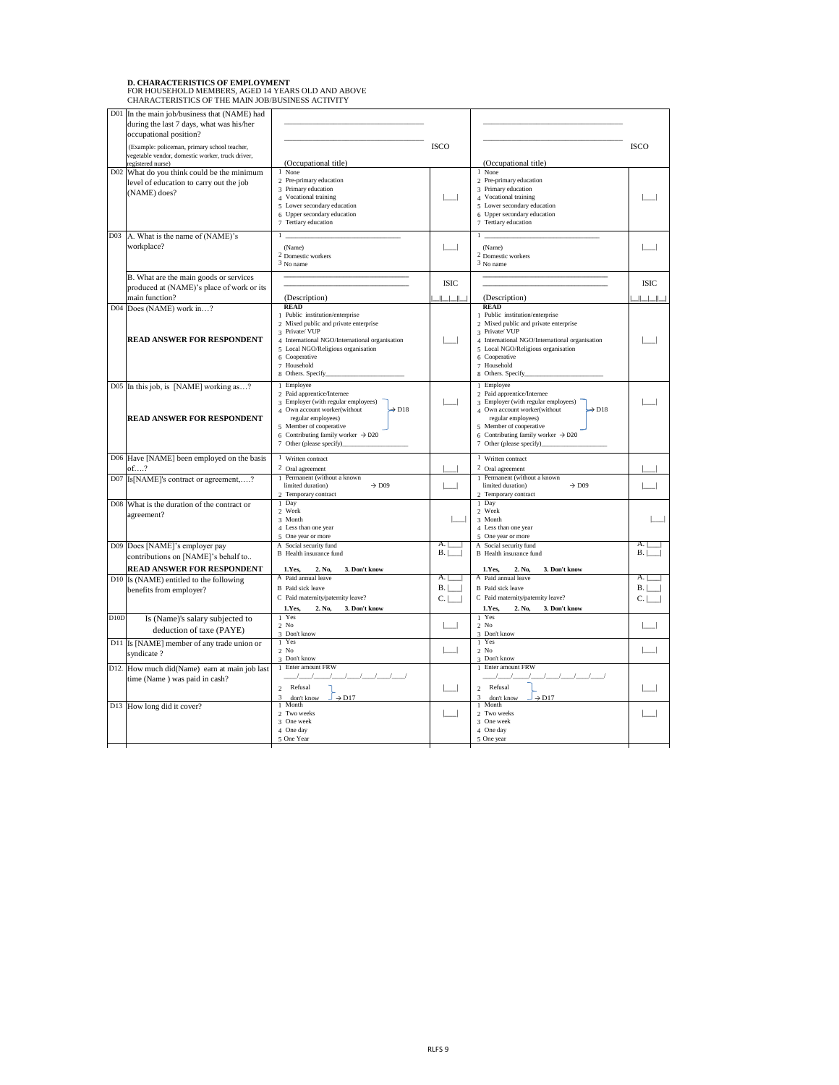#### **D. CHARACTERISTICS OF EMPLOYMENT** FOR HOUSEHOLD MEMBERS, AGED 14 YEARS OLD AND ABOVE CHARACTERISTICS OF THE MAIN JOB/BUSINESS ACTIVITY

|      | D01 In the main job/business that (NAME) had<br>during the last 7 days, what was his/her<br>occupational position? |                                                                                                                                                                                                                                                                     |                |                                                                                                                                                                                                                                                                   |                |
|------|--------------------------------------------------------------------------------------------------------------------|---------------------------------------------------------------------------------------------------------------------------------------------------------------------------------------------------------------------------------------------------------------------|----------------|-------------------------------------------------------------------------------------------------------------------------------------------------------------------------------------------------------------------------------------------------------------------|----------------|
|      | (Example: policeman, primary school teacher,<br>vegetable vendor, domestic worker, truck driver,                   |                                                                                                                                                                                                                                                                     | <b>ISCO</b>    |                                                                                                                                                                                                                                                                   | <b>ISCO</b>    |
|      | registered nurse)                                                                                                  | (Occupational title)                                                                                                                                                                                                                                                |                | (Occupational title)                                                                                                                                                                                                                                              |                |
|      | D02 What do you think could be the minimum<br>level of education to carry out the job<br>(NAME) does?              | 1 None<br>2 Pre-primary education<br>3 Primary education<br>4 Vocational training                                                                                                                                                                                   |                | 1 None<br>2 Pre-primary education<br>3 Primary education<br>4 Vocational training                                                                                                                                                                                 |                |
|      |                                                                                                                    | 5 Lower secondary education<br>6 Upper secondary education<br>7 Tertiary education                                                                                                                                                                                  |                | 5 Lower secondary education<br>6 Upper secondary education<br>7 Tertiary education                                                                                                                                                                                |                |
|      | D03 A. What is the name of (NAME)'s<br>workplace?                                                                  | (Name)<br><sup>2</sup> Domestic workers<br>3 No name                                                                                                                                                                                                                |                | (Name)<br><sup>2</sup> Domestic workers<br>3 No name                                                                                                                                                                                                              |                |
|      | B. What are the main goods or services<br>produced at (NAME)'s place of work or its                                |                                                                                                                                                                                                                                                                     | <b>ISIC</b>    |                                                                                                                                                                                                                                                                   | <b>ISIC</b>    |
|      | main function?                                                                                                     | (Description)                                                                                                                                                                                                                                                       | $\Box$         | (Description)                                                                                                                                                                                                                                                     | $\perp$        |
|      | D04 Does (NAME) work in?<br><b>READ ANSWER FOR RESPONDENT</b>                                                      | <b>READ</b><br>Public institution/enterprise<br>2 Mixed public and private enterprise<br>3 Private/VUP<br>4 International NGO/International organisation<br>5 Local NGO/Religious organisation<br>6 Cooperative<br>7 Household<br>8 Others. Specify_                |                | <b>READ</b><br>Public institution/enterprise<br>2 Mixed public and private enterprise<br>3 Private/ VUP<br>4 International NGO/International organisation<br>5 Local NGO/Religious organisation<br>6 Cooperative<br>7 Household<br>8 Others. Specify_             |                |
|      | D05 In this job, is [NAME] working as?<br><b>READ ANSWER FOR RESPONDENT</b>                                        | 1 Employee<br>2 Paid apprentice/Internee<br>3 Employer (with regular employees)<br>4 Own account worker(without<br>$\rightarrow$ D18<br>regular employees)<br>5 Member of cooperative<br>6 Contributing family worker $\rightarrow$ D20<br>7 Other (please specify) |                | 1 Employee<br>2 Paid apprentice/Internee<br>Employer (with regular employees)<br>4 Own account worker(without<br>$\rightarrow$ D18<br>regular employees)<br>5 Member of cooperative<br>6 Contributing family worker $\rightarrow$ D20<br>7 Other (please specify) |                |
|      | D06 Have [NAME] been employed on the basis<br>$of.$ ?                                                              | Written contract<br>2 Oral agreement                                                                                                                                                                                                                                |                | 1 Written contract<br><sup>2</sup> Oral agreement                                                                                                                                                                                                                 |                |
|      | D07 Is [NAME]'s contract or agreement,?                                                                            | Permanent (without a known<br>limited duration)<br>$\rightarrow$ D09<br>2 Temporary contract                                                                                                                                                                        |                | 1 Permanent (without a known<br>limited duration)<br>$\rightarrow$ D09<br>2 Temporary contract                                                                                                                                                                    |                |
|      | D08 What is the duration of the contract or<br>agreement?                                                          | 1 Day<br>2 Week<br>3 Month                                                                                                                                                                                                                                          |                | 1 Day<br>2 Week<br>3 Month                                                                                                                                                                                                                                        |                |
|      |                                                                                                                    | 4 Less than one year<br>5 One year or more                                                                                                                                                                                                                          |                | 4 Less than one year<br>5 One year or more                                                                                                                                                                                                                        |                |
|      | D09 Does [NAME]'s employer pay<br>contributions on [NAME]'s behalf to                                              | A Social security fund<br><b>B</b> Health insurance fund                                                                                                                                                                                                            | A.<br>B.       | A Social security fund<br><b>B</b> Health insurance fund                                                                                                                                                                                                          | A.<br>B.       |
|      | <b>READ ANSWER FOR RESPONDENT</b>                                                                                  | 3. Don't know<br>1.Yes,<br>2. No,                                                                                                                                                                                                                                   |                | 2. No,<br>3. Don't know<br>1.Yes,                                                                                                                                                                                                                                 |                |
|      | $D10$ Is (NAME) entitled to the following<br>benefits from employer?                                               | A Paid annual leave<br><b>B</b> Paid sick leave<br>C Paid maternity/paternity leave?                                                                                                                                                                                | А.<br>B.<br>C. | A Paid annual leave<br><b>B</b> Paid sick leave<br>C Paid maternity/paternity leave?                                                                                                                                                                              | A.<br>B.<br>C. |
|      |                                                                                                                    | 1.Yes,<br>3. Don't know<br>2. No,                                                                                                                                                                                                                                   |                | 3. Don't know<br>1.Yes,<br>2. No,                                                                                                                                                                                                                                 |                |
| D10D | Is (Name)'s salary subjected to<br>deduction of taxe (PAYE)                                                        | 1 Yes<br>$2$ No<br>3 Don't know                                                                                                                                                                                                                                     |                | 1 Yes<br>$2$ No<br>3 Don't know                                                                                                                                                                                                                                   |                |
|      | D11 Is [NAME] member of any trade union or<br>syndicate?                                                           | 1 Yes<br>$2$ No<br>3 Don't know                                                                                                                                                                                                                                     |                | 1 Yes<br>$2$ No                                                                                                                                                                                                                                                   |                |
|      | D12. How much did(Name) earn at main job last<br>time (Name) was paid in cash?                                     | Enter amount FRW<br>Refusal<br>2                                                                                                                                                                                                                                    |                | 3 Don't know<br>Enter amount FRW<br>Refusal<br>$\mathfrak{D}_{1}^{(1)}$                                                                                                                                                                                           |                |
|      | D13 How long did it cover?                                                                                         | 3<br>$\rightarrow$ D17<br>don't know<br>1 Month                                                                                                                                                                                                                     |                | 3<br>$\rightarrow$ D17<br>don't know<br>Month                                                                                                                                                                                                                     |                |
|      |                                                                                                                    | 2 Two weeks<br>3 One week<br>4 One day                                                                                                                                                                                                                              |                | 2 Two weeks<br>3 One week<br>4 One day                                                                                                                                                                                                                            |                |
|      |                                                                                                                    | 5 One Year                                                                                                                                                                                                                                                          |                | 5 One year                                                                                                                                                                                                                                                        |                |

 $\overline{\phantom{a}}$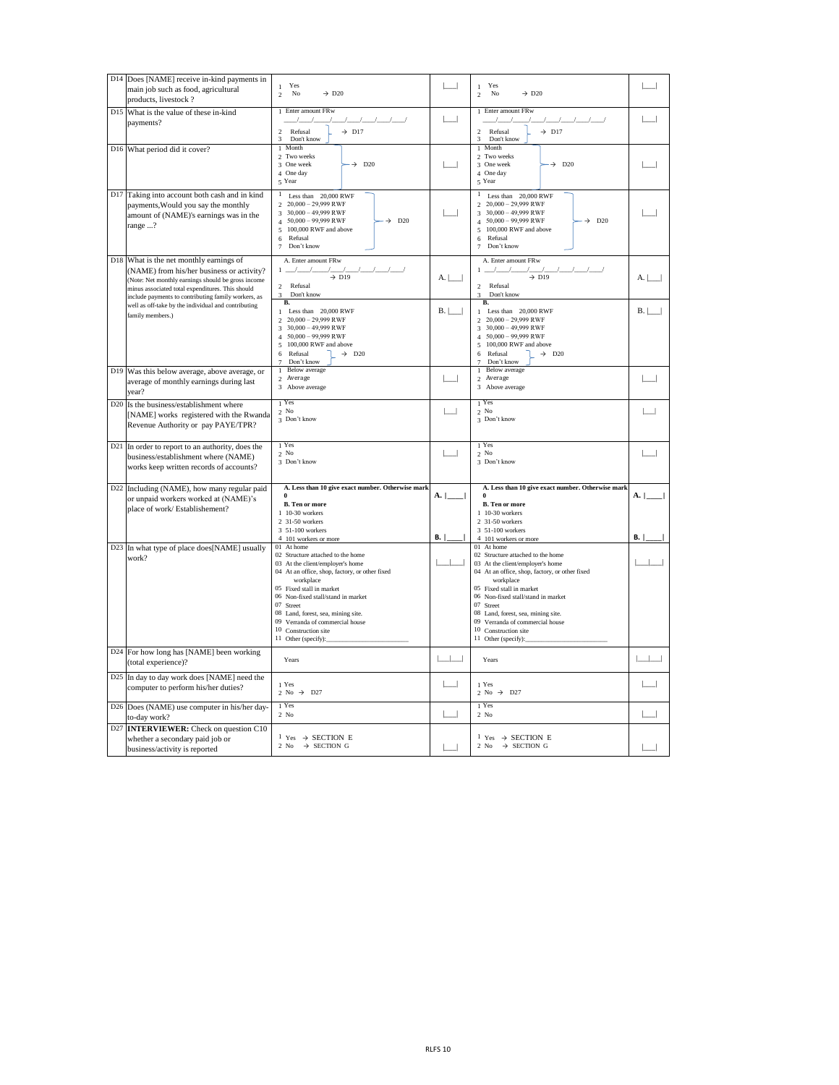| D <sub>14</sub> Does [NAME] receive in-kind payments in<br>main job such as food, agricultural<br>products, livestock?                                                                                                                                            | Yes<br>$\mathbf{1}$<br>No<br>$\rightarrow$ D <sub>20</sub><br>$\mathfrak{D}$                                                                                                                                                                                                                                                                                                       |                 | Yes<br>$\rightarrow$ D <sub>20</sub><br>No<br>2                                                                                                                                                                                                                                                                                                                                    |                        |
|-------------------------------------------------------------------------------------------------------------------------------------------------------------------------------------------------------------------------------------------------------------------|------------------------------------------------------------------------------------------------------------------------------------------------------------------------------------------------------------------------------------------------------------------------------------------------------------------------------------------------------------------------------------|-----------------|------------------------------------------------------------------------------------------------------------------------------------------------------------------------------------------------------------------------------------------------------------------------------------------------------------------------------------------------------------------------------------|------------------------|
| D <sub>15</sub> What is the value of these in-kind<br>payments?                                                                                                                                                                                                   | 1 Enter amount FRw<br>$\rightarrow$ D17<br>Refusal<br>2<br>3<br>Don't know                                                                                                                                                                                                                                                                                                         |                 | 1 Enter amount FRw<br>Refusal<br>$\rightarrow$ D17<br>2<br>3<br>Don't know                                                                                                                                                                                                                                                                                                         |                        |
| D <sub>16</sub> What period did it cover?                                                                                                                                                                                                                         | 1 Month<br>2 Two weeks<br>3 One week<br>$\rightarrow$ D20<br>4 One day<br>5 Year                                                                                                                                                                                                                                                                                                   |                 | Month<br>2 Two weeks<br>$\rightarrow$ D20<br>3 One week<br>4 One day<br>5 Year                                                                                                                                                                                                                                                                                                     |                        |
| D17 Taking into account both cash and in kind<br>payments, Would you say the monthly<br>amount of (NAME)'s earnings was in the<br>range ?                                                                                                                         | Less than 20,000 RWF<br>$20,000 - 29,999$ RWF<br>$30,000 - 49,999$ RWF<br>$50,000 - 99,999$ RWF<br>D <sub>20</sub><br>$\rightarrow$<br>100,000 RWF and above<br>Refusal<br>6<br>Don't know                                                                                                                                                                                         |                 | Less than 20,000 RWF<br>$20,000 - 29,999$ RWF<br>$30,000 - 49,999$ RWF<br>$50,000 - 99,999$ RWF<br>$\rightarrow$ D <sub>20</sub><br>100,000 RWF and above<br>$\overline{5}$<br>Refusal<br>6<br>Don't know<br>7                                                                                                                                                                     |                        |
| D <sub>18</sub> What is the net monthly earnings of<br>(NAME) from his/her business or activity?<br>(Note: Net monthly earnings should be gross income<br>minus associated total expenditures. This should<br>include payments to contributing family workers, as | A. Enter amount FRw<br>$\rightarrow$ D19<br>Refusal<br>$\mathfrak{D}$<br>3<br>Don't know                                                                                                                                                                                                                                                                                           | A.              | A. Enter amount FRw<br>$\rightarrow$ D19<br>Refusal<br>2<br>Don't know<br>3                                                                                                                                                                                                                                                                                                        | A.                     |
| well as off-take by the individual and contributing<br>family members.)                                                                                                                                                                                           | <b>B.</b><br>Less than 20,000 RWF<br>$20,000 - 29,999$ RWF<br>$30,000 - 49,999$ RWF<br>$50,000 - 99,999$ RWF<br>100,000 RWF and above<br>$\rightarrow$ D <sub>20</sub><br>Refusal<br>6<br>Don't know                                                                                                                                                                               | B.              | В.<br>Less than $20,000$ RWF<br>$20,000 - 29,999$ RWF<br>$30,000 - 49,999$ RWF<br>$50,000 - 99,999$ RWF<br>100,000 RWF and above<br>5<br>Refusal<br>$\rightarrow$ D <sub>20</sub><br>6<br>Don't know                                                                                                                                                                               | B.                     |
| D19 Was this below average, above average, or<br>average of monthly earnings during last<br>year?                                                                                                                                                                 | <b>Below</b> average<br>2 Average<br>3 Above average                                                                                                                                                                                                                                                                                                                               |                 | <b>Below</b> average<br>2 Average<br>3 Above average                                                                                                                                                                                                                                                                                                                               |                        |
| D <sub>20</sub> Is the business/establishment where<br>[NAME] works registered with the Rwanda<br>Revenue Authority or pay PAYE/TPR?                                                                                                                              | $_1$ Yes<br>$2$ No<br>3 Don't know                                                                                                                                                                                                                                                                                                                                                 |                 | Yes<br>$2$ No<br>3 Don't know                                                                                                                                                                                                                                                                                                                                                      |                        |
| D21 In order to report to an authority, does the<br>business/establishment where (NAME)<br>works keep written records of accounts?                                                                                                                                | $1$ Yes<br>$2$ No<br>3 Don't know                                                                                                                                                                                                                                                                                                                                                  |                 | 1 Yes<br>$2$ No<br>3 Don't know                                                                                                                                                                                                                                                                                                                                                    |                        |
| D22 Including (NAME), how many regular paid<br>or unpaid workers worked at (NAME)'s<br>place of work/ Establishement?                                                                                                                                             | A. Less than 10 give exact number. Otherwise mark<br><b>B.</b> Ten or more<br>1 10-30 workers<br>2 31-50 workers<br>3 51-100 workers                                                                                                                                                                                                                                               | A.<br><b>B.</b> | A. Less than 10 give exact number. Otherwise mark<br><b>B.</b> Ten or more<br>1 10-30 workers<br>2 31-50 workers<br>3 51-100 workers                                                                                                                                                                                                                                               | <b>A.</b><br><b>B.</b> |
| D23 In what type of place does [NAME] usually<br>work?                                                                                                                                                                                                            | 4 101 workers or more<br>01 At home<br>02 Structure attached to the home<br>03 At the client/employer's home<br>04 At an office, shop, factory, or other fixed<br>workplace<br>05 Fixed stall in market<br>06 Non-fixed stall/stand in market<br>07 Street<br>08 Land, forest, sea, mining site.<br>09 Verranda of commercial house<br>10 Construction site<br>11 Other (specify): |                 | 4 101 workers or more<br>01 At home<br>02 Structure attached to the home<br>03 At the client/employer's home<br>04 At an office, shop, factory, or other fixed<br>workplace<br>05 Fixed stall in market<br>06 Non-fixed stall/stand in market<br>07 Street<br>08 Land, forest, sea, mining site.<br>09 Verranda of commercial house<br>10 Construction site<br>11 Other (specify): |                        |
| D24 For how long has [NAME] been working<br>(total experience)?                                                                                                                                                                                                   | Years                                                                                                                                                                                                                                                                                                                                                                              |                 | Years                                                                                                                                                                                                                                                                                                                                                                              |                        |
| D25 In day to day work does [NAME] need the<br>computer to perform his/her duties?                                                                                                                                                                                | 1 Yes<br>2 No $\rightarrow$ D27                                                                                                                                                                                                                                                                                                                                                    |                 | 1 Yes<br>2 No $\rightarrow$ D27                                                                                                                                                                                                                                                                                                                                                    |                        |
| D26 Does (NAME) use computer in his/her day-<br>to-day work?                                                                                                                                                                                                      | 1 Yes<br>$2$ No                                                                                                                                                                                                                                                                                                                                                                    |                 | 1 Yes<br>$2$ No                                                                                                                                                                                                                                                                                                                                                                    |                        |
| D27 <b>INTERVIEWER:</b> Check on question C10<br>whether a secondary paid job or<br>business/activity is reported                                                                                                                                                 | $1 \text{ Yes} \rightarrow \text{SECTION } E$<br>$\rightarrow$ SECTION G<br>2 No                                                                                                                                                                                                                                                                                                   |                 | $1 \text{ Yes} \rightarrow \text{SECTION } E$<br>$\rightarrow$ SECTION G<br>$2$ No                                                                                                                                                                                                                                                                                                 |                        |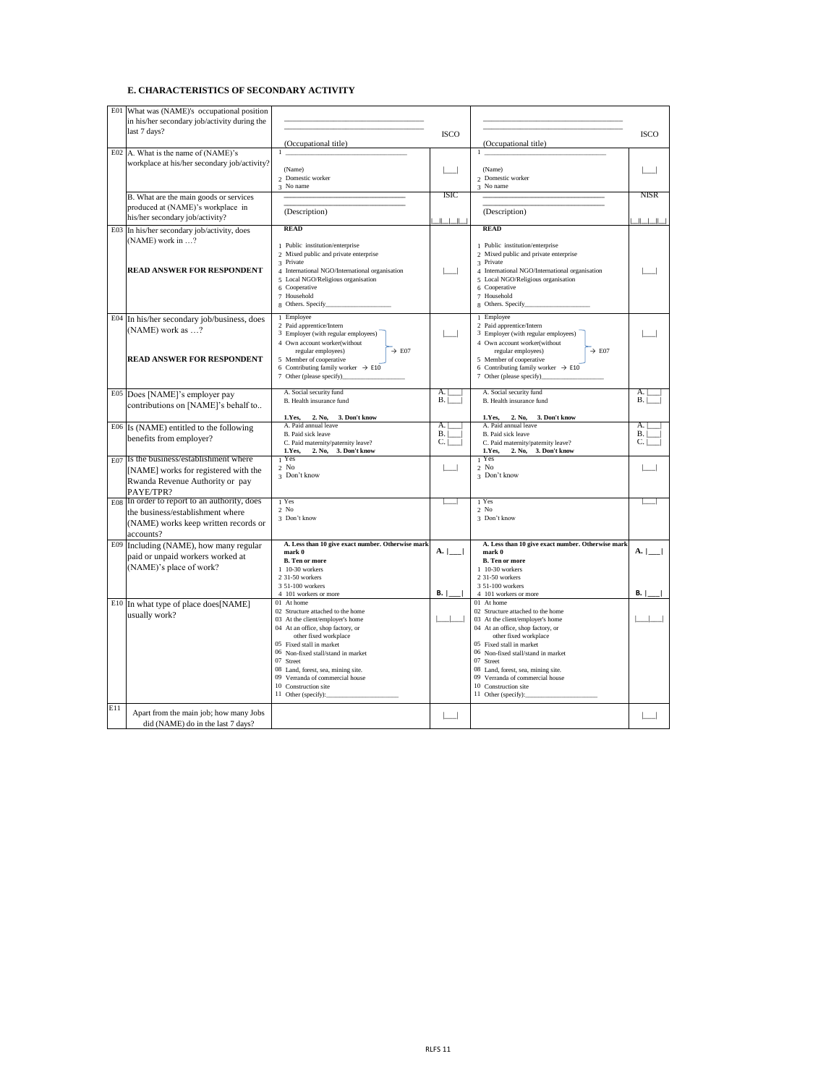## **E. CHARACTERISTICS OF SECONDARY ACTIVITY**

| E <sub>01</sub> | What was (NAME)'s occupational position<br>in his/her secondary job/activity during the<br>last 7 days?                               |                                                                                                                                                                                                                                                                                                                                                          |                            |                                                                                                                                                                                                                                                                                                                                                          |                                                       |
|-----------------|---------------------------------------------------------------------------------------------------------------------------------------|----------------------------------------------------------------------------------------------------------------------------------------------------------------------------------------------------------------------------------------------------------------------------------------------------------------------------------------------------------|----------------------------|----------------------------------------------------------------------------------------------------------------------------------------------------------------------------------------------------------------------------------------------------------------------------------------------------------------------------------------------------------|-------------------------------------------------------|
|                 |                                                                                                                                       | (Occupational title)                                                                                                                                                                                                                                                                                                                                     | <b>ISCO</b>                | (Occupational title)                                                                                                                                                                                                                                                                                                                                     | <b>ISCO</b>                                           |
|                 | E02 A. What is the name of $(NAME)$ 's<br>workplace at his/her secondary job/activity?                                                | (Name)<br>2 Domestic worker<br>3 No name                                                                                                                                                                                                                                                                                                                 |                            | (Name)<br>2 Domestic worker<br>3 No name                                                                                                                                                                                                                                                                                                                 |                                                       |
|                 | B. What are the main goods or services<br>produced at (NAME)'s workplace in<br>his/her secondary job/activity?                        | (Description)                                                                                                                                                                                                                                                                                                                                            | <b>ISIC</b><br>1 - 1 - 1 - | (Description)                                                                                                                                                                                                                                                                                                                                            | <b>NISR</b><br>$\mathbb{I}$ $\mathbb{I}$ $\mathbb{I}$ |
|                 | E03 In his/her secondary job/activity, does<br>$(NAME)$ work in ?<br><b>READ ANSWER FOR RESPONDENT</b>                                | <b>READ</b><br>1 Public institution/enterprise<br>2 Mixed public and private enterprise<br>3 Private<br>4 International NGO/International organisation<br>5 Local NGO/Religious organisation<br>6 Cooperative<br>7 Household<br>8 Others. Specify_                                                                                                       |                            | <b>READ</b><br>Public institution/enterprise<br>2 Mixed public and private enterprise<br>3 Private<br>International NGO/International organisation<br>5 Local NGO/Religious organisation<br>6 Cooperative<br>7 Household                                                                                                                                 |                                                       |
|                 | E04 In his/her secondary job/business, does<br>(NAME) work as $\dots$ ?<br><b>READ ANSWER FOR RESPONDENT</b>                          | 1 Employee<br>2 Paid apprentice/Intern<br>3 Employer (with regular employees)<br>4 Own account worker(without<br>$\rightarrow$ E07<br>regular employees)<br>5 Member of cooperative<br>6 Contributing family worker $\rightarrow$ E10<br>7 Other (please specify)_                                                                                       |                            | 1 Employee<br>2 Paid apprentice/Intern<br>3 Employer (with regular employees)<br>4 Own account worker(without<br>regular employees)<br>$\rightarrow$ E07<br>5 Member of cooperative<br>6 Contributing family worker $\rightarrow$ E10                                                                                                                    |                                                       |
|                 | E05  Does [NAME]'s employer pay<br>contributions on [NAME]'s behalf to                                                                | A. Social security fund<br>B. Health insurance fund<br>2. No,<br>3. Don't know<br>1.Yes,                                                                                                                                                                                                                                                                 | A.<br>B <sub>1</sub>       | A. Social security fund<br>B. Health insurance fund<br>2. No,<br>1. Yes,<br>3. Don't know                                                                                                                                                                                                                                                                | A.<br>B.                                              |
|                 | $E06$ Is (NAME) entitled to the following<br>benefits from employer?                                                                  | A. Paid annual leave<br>B. Paid sick leave<br>C. Paid maternity/paternity leave?<br>2. No, 3. Don't know<br>1. Yes.                                                                                                                                                                                                                                      | A.<br>B.<br>$C_{\cdot}$    | A. Paid annual leave<br>B. Paid sick leave<br>C. Paid maternity/paternity leave?<br>2. No, 3. Don't know<br>1. Yes,                                                                                                                                                                                                                                      | A.<br>B.<br>$C_{\cdot}$                               |
|                 | $E_{07}$ Is the business/establishment where<br>[NAME] works for registered with the<br>Rwanda Revenue Authority or pay<br>PAYE/TPR?  | Yes<br>$2$ No<br>3 Don't know                                                                                                                                                                                                                                                                                                                            |                            | Yes<br>$2$ No<br>3 Don't know                                                                                                                                                                                                                                                                                                                            |                                                       |
|                 | E08 In order to report to an authority, does<br>the business/establishment where<br>(NAME) works keep written records or<br>accounts? | 1 Yes<br>$2$ No<br>3 Don't know                                                                                                                                                                                                                                                                                                                          |                            | 1 Yes<br>$2$ No<br>3 Don't know                                                                                                                                                                                                                                                                                                                          |                                                       |
|                 | E09 Including (NAME), how many regular<br>paid or unpaid workers worked at<br>(NAME)'s place of work?                                 | A. Less than 10 give exact number. Otherwise mark<br>mark 0<br><b>B.</b> Ten or more<br>1 10-30 workers<br>2 31-50 workers<br>3 51-100 workers<br>4 101 workers or more                                                                                                                                                                                  | A.<br>В.                   | A. Less than 10 give exact number. Otherwise mark<br>mark 0<br><b>B.</b> Ten or more<br>1 10-30 workers<br>2 31-50 workers<br>3 51-100 workers<br>4 101 workers or more                                                                                                                                                                                  | A.<br><b>B.</b>                                       |
|                 | E <sub>10</sub> In what type of place does [NAME]<br>usually work?                                                                    | 01 At home<br>02 Structure attached to the home<br>03 At the client/employer's home<br>04 At an office, shop factory, or<br>other fixed workplace<br>05 Fixed stall in market<br>06 Non-fixed stall/stand in market<br>07 Street<br>08 Land, forest, sea, mining site.<br>09 Verranda of commercial house<br>10 Construction site<br>11 Other (specify): |                            | 01 At home<br>02 Structure attached to the home<br>03 At the client/employer's home<br>04 At an office, shop factory, or<br>other fixed workplace<br>05 Fixed stall in market<br>06 Non-fixed stall/stand in market<br>07 Street<br>08 Land, forest, sea, mining site.<br>09 Verranda of commercial house<br>10 Construction site<br>11 Other (specify): |                                                       |
| E11             | Apart from the main job; how many Jobs<br>did (NAME) do in the last 7 days?                                                           |                                                                                                                                                                                                                                                                                                                                                          |                            |                                                                                                                                                                                                                                                                                                                                                          |                                                       |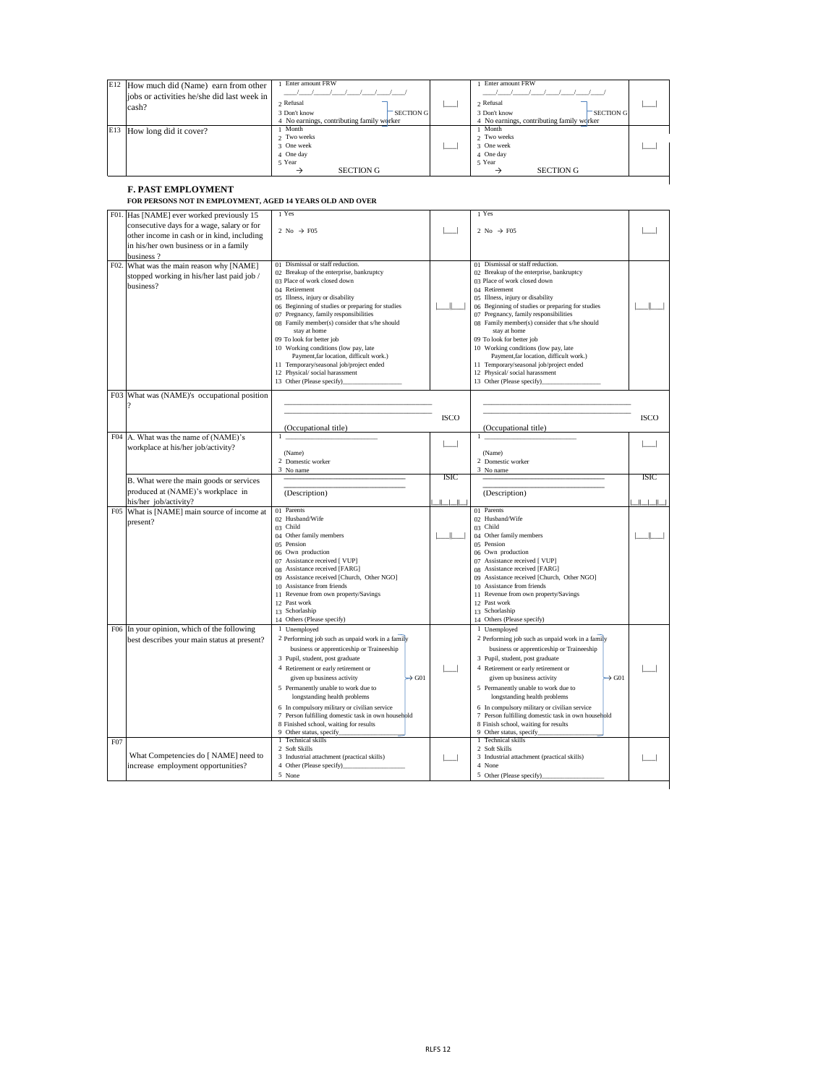| $E12$ How much did (Name) earn from other<br>jobs or activities he/she did last week in<br>cash? | Enter amount FRW<br>$2$ Refusal<br><b>SECTION G</b><br>3 Don't know<br>4 No earnings, contributing family worker | Enter amount FRW<br>$2$ Refusal<br><b>SECTION G</b><br>3 Don't know<br>4 No earnings, contributing family worker |  |
|--------------------------------------------------------------------------------------------------|------------------------------------------------------------------------------------------------------------------|------------------------------------------------------------------------------------------------------------------|--|
| E13<br>How long did it cover?                                                                    | Month<br>2 Two weeks<br>3 One week<br>4 One day<br>5 Year<br><b>SECTION G</b>                                    | Month<br>2 Two weeks<br>3 One week<br>4 One day<br>5 Year<br><b>SECTION G</b><br>→                               |  |

## **F. PAST EMPLOYMENT FOR PERSONS NOT IN EMPLOYMENT, AGED 14 YEARS OLD AND OVER**

|     | F01. Has [NAME] ever worked previously 15    | 1 Yes                                              |              | 1 Yes                                              |             |
|-----|----------------------------------------------|----------------------------------------------------|--------------|----------------------------------------------------|-------------|
|     |                                              |                                                    |              |                                                    |             |
|     | consecutive days for a wage, salary or for   | 2 No $\rightarrow$ F05                             |              | 2 No $\rightarrow$ F05                             |             |
|     | other income in cash or in kind, including   |                                                    |              |                                                    |             |
|     | in his/her own business or in a family       |                                                    |              |                                                    |             |
|     |                                              |                                                    |              |                                                    |             |
|     | business?                                    |                                                    |              |                                                    |             |
|     | F02. What was the main reason why [NAME]     | 01 Dismissal or staff reduction.                   |              | 01 Dismissal or staff reduction.                   |             |
|     | stopped working in his/her last paid job /   | 02 Breakup of the enterprise, bankruptcy           |              | 02 Breakup of the enterprise, bankruptcy           |             |
|     | business?                                    | 03 Place of work closed down                       |              | 03 Place of work closed down                       |             |
|     |                                              | 04 Retirement                                      |              | 04 Retirement                                      |             |
|     |                                              | 05 Illness, injury or disability                   |              | 05 Illness, injury or disability                   |             |
|     |                                              | 06 Beginning of studies or preparing for studies   |              | 06 Beginning of studies or preparing for studies   |             |
|     |                                              | 07 Pregnancy, family responsibilities              |              | 07 Pregnancy, family responsibilities              |             |
|     |                                              | 08 Family member(s) consider that s/he should      |              | 08 Family member(s) consider that s/he should      |             |
|     |                                              | stay at home                                       |              | stay at home                                       |             |
|     |                                              | 09 To look for better job                          |              | 09 To look for better job                          |             |
|     |                                              | 10 Working conditions (low pay, late               |              | 10 Working conditions (low pay, late               |             |
|     |                                              | Payment, far location, difficult work.)            |              | Payment, far location, difficult work.)            |             |
|     |                                              | 11 Temporary/seasonal job/project ended            |              | 11 Temporary/seasonal job/project ended            |             |
|     |                                              | 12 Physical/social harassment                      |              | 12 Physical/social harassment                      |             |
|     |                                              | 13 Other (Please specify)                          |              | 13 Other (Please specify)_                         |             |
|     |                                              |                                                    |              |                                                    |             |
|     | F03 What was (NAME)'s occupational position  |                                                    |              |                                                    |             |
|     |                                              |                                                    |              |                                                    |             |
|     |                                              |                                                    |              |                                                    |             |
|     |                                              |                                                    | <b>ISCO</b>  |                                                    | <b>ISCO</b> |
|     |                                              | (Occupational title)                               |              | (Occupational title)                               |             |
|     | F04 $\vert$ A. What was the name of (NAME)'s |                                                    |              |                                                    |             |
|     | workplace at his/her job/activity?           |                                                    |              |                                                    |             |
|     |                                              | (Name)                                             |              | (Name)                                             |             |
|     |                                              | 2 Domestic worker                                  |              | 2 Domestic worker                                  |             |
|     |                                              | 3 No name                                          |              | 3 No name                                          |             |
|     | B. What were the main goods or services      |                                                    | <b>ISIC</b>  |                                                    | <b>ISIC</b> |
|     |                                              |                                                    |              |                                                    |             |
|     | produced at (NAME)'s workplace in            | (Description)                                      |              | (Description)                                      |             |
|     | his/her job/activity?                        |                                                    | $\mathbf{H}$ |                                                    |             |
|     | F05 What is [NAME] main source of income at  | 01 Parents                                         |              | 01 Parents                                         |             |
|     | present?                                     | 02 Husband/Wife                                    |              | 02 Husband/Wife                                    |             |
|     |                                              | 03 Child                                           |              | 03 Child                                           |             |
|     |                                              | 04 Other family members                            |              | 04 Other family members                            |             |
|     |                                              | 05 Pension                                         |              | 05 Pension                                         |             |
|     |                                              | 06 Own production                                  |              | 06 Own production                                  |             |
|     |                                              | 07 Assistance received [ VUP]                      |              | 07 Assistance received [ VUP]                      |             |
|     |                                              | 08 Assistance received [FARG]                      |              | 08 Assistance received [FARG]                      |             |
|     |                                              | 09 Assistance received [Church, Other NGO]         |              | 09 Assistance received [Church, Other NGO]         |             |
|     |                                              | 10 Assistance from friends                         |              | 10 Assistance from friends                         |             |
|     |                                              | Revenue from own property/Savings                  |              | 11 Revenue from own property/Savings               |             |
|     |                                              | 12 Past work                                       |              | 12 Past work                                       |             |
|     |                                              | 13 Schorlaship                                     |              | 13 Schorlaship                                     |             |
|     |                                              | 14 Others (Please specify)                         |              | 14 Others (Please specify)                         |             |
|     | F06 In your opinion, which of the following  | Unemployed                                         |              | 1 Unemployed                                       |             |
|     |                                              |                                                    |              |                                                    |             |
|     | best describes your main status at present?  | 2 Performing job such as unpaid work in a family   |              | 2 Performing job such as unpaid work in a family   |             |
|     |                                              | business or apprenticeship or Traineeship          |              | business or apprenticeship or Traineeship          |             |
|     |                                              | 3 Pupil, student, post graduate                    |              | 3 Pupil, student, post graduate                    |             |
|     |                                              | 4 Retirement or early retirement or                |              | 4 Retirement or early retirement or                |             |
|     |                                              | $\rightarrow$ G01<br>given up business activity    |              | given up business activity<br>$\rightarrow$ G01    |             |
|     |                                              |                                                    |              |                                                    |             |
|     |                                              | 5 Permanently unable to work due to                |              | 5 Permanently unable to work due to                |             |
|     |                                              | longstanding health problems                       |              | longstanding health problems                       |             |
|     |                                              | 6 In compulsory military or civilian service       |              | 6 In compulsory military or civilian service       |             |
|     |                                              | 7 Person fulfilling domestic task in own household |              | 7 Person fulfilling domestic task in own household |             |
|     |                                              | 8 Finished school, waiting for results             |              | 8 Finish school, waiting for results               |             |
|     |                                              | 9 Other status, specify_                           |              | 9 Other status, specify_                           |             |
| F07 |                                              | Technical skills                                   |              | 1 Technical skills                                 |             |
|     |                                              | 2 Soft Skills                                      |              | 2 Soft Skills                                      |             |
|     | What Competencies do [NAME] need to          | 3 Industrial attachment (practical skills)         |              | 3 Industrial attachment (practical skills)         |             |
|     |                                              |                                                    |              |                                                    |             |
|     |                                              |                                                    |              | 4 None                                             |             |
|     | increase employment opportunities?           | 4 Other (Please specify)_<br>5 None                |              | 5 Other (Please specify)                           |             |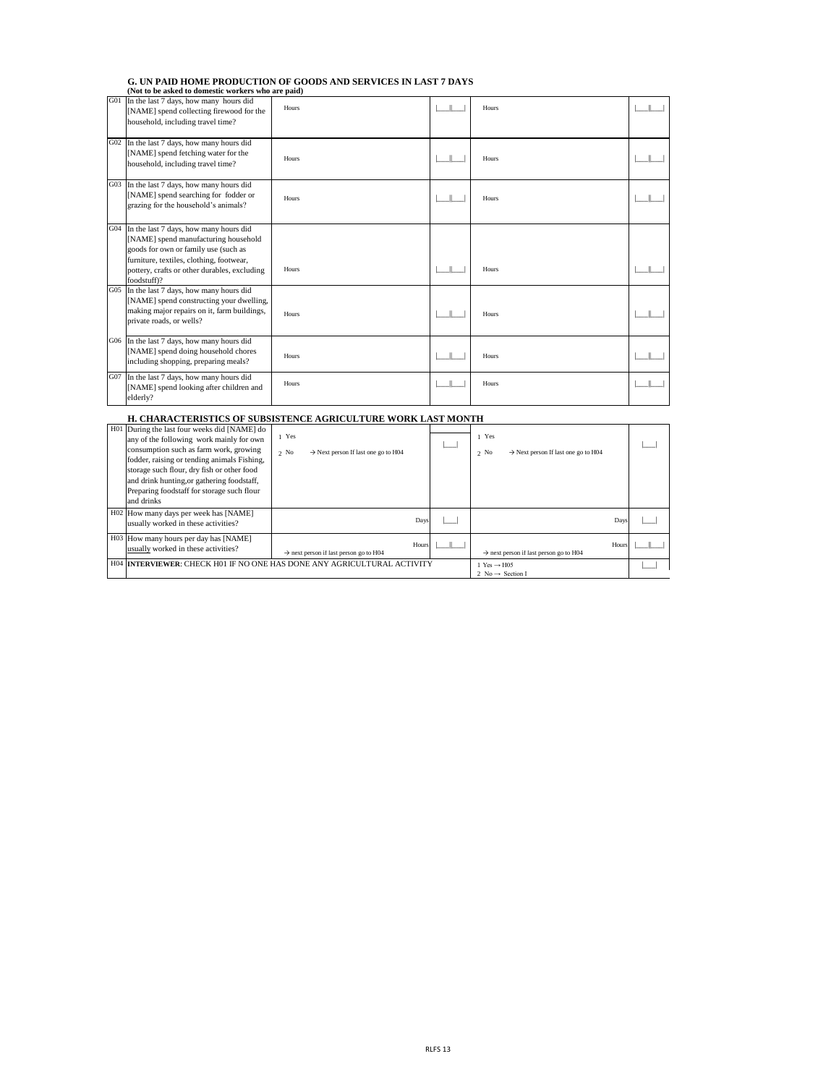#### **G. UN PAID HOME PRODUCTION OF GOODS AND SERVICES IN LAST 7 DAYS (Not to be asked to domestic workers who are paid)**

| H01 During the last four weeks did [NAME] do |                                                                         |  |                                                             |  |
|----------------------------------------------|-------------------------------------------------------------------------|--|-------------------------------------------------------------|--|
| any of the following work mainly for own     | 1 Yes                                                                   |  | 1 Yes                                                       |  |
| consumption such as farm work, growing       | $\rightarrow$ Next person If last one go to H04<br>$2$ No               |  | $\rightarrow$ Next person If last one go to H04<br>$2$ No   |  |
| fodder, raising or tending animals Fishing,  |                                                                         |  |                                                             |  |
| storage such flour, dry fish or other food   |                                                                         |  |                                                             |  |
| and drink hunting, or gathering foodstaff,   |                                                                         |  |                                                             |  |
| Preparing foodstaff for storage such flour   |                                                                         |  |                                                             |  |
| and drinks                                   |                                                                         |  |                                                             |  |
| H02 How many days per week has [NAME]        |                                                                         |  |                                                             |  |
| usually worked in these activities?          | Days                                                                    |  | Days                                                        |  |
| H03 How many hours per day has [NAME]        |                                                                         |  |                                                             |  |
| usually worked in these activities?          | Hours<br>$\rightarrow$ next person if last person go to H04             |  | Hours<br>$\rightarrow$ next person if last person go to H04 |  |
|                                              | H04 INTERVIEWER: CHECK H01 IF NO ONE HAS DONE ANY AGRICULTURAL ACTIVITY |  | 1 Yes $\rightarrow$ H05                                     |  |
|                                              |                                                                         |  | 2 No $\rightarrow$ Section I                                |  |

## **H. CHARACTERISTICS OF SUBSISTENCE AGRICULTURE WORK LAST MONTH**

| G01 | In the last 7 days, how many hours did<br>[NAME] spend collecting firewood for the<br>household, including travel time?                                                                                                           | Hours | Hours |  |
|-----|-----------------------------------------------------------------------------------------------------------------------------------------------------------------------------------------------------------------------------------|-------|-------|--|
| G02 | In the last 7 days, how many hours did<br>[NAME] spend fetching water for the<br>household, including travel time?                                                                                                                | Hours | Hours |  |
| G03 | In the last 7 days, how many hours did<br>[NAME] spend searching for fodder or<br>grazing for the household's animals?                                                                                                            | Hours | Hours |  |
| G04 | In the last 7 days, how many hours did<br>[NAME] spend manufacturing household<br>goods for own or family use (such as<br>furniture, textiles, clothing, footwear,<br>pottery, crafts or other durables, excluding<br>foodstuff)? | Hours | Hours |  |
| G05 | In the last 7 days, how many hours did<br>[NAME] spend constructing your dwelling,<br>making major repairs on it, farm buildings,<br>private roads, or wells?                                                                     | Hours | Hours |  |
|     | G06 In the last 7 days, how many hours did<br>[NAME] spend doing household chores<br>including shopping, preparing meals?                                                                                                         | Hours | Hours |  |
| G07 | In the last 7 days, how many hours did<br>[NAME] spend looking after children and<br>elderly?                                                                                                                                     | Hours | Hours |  |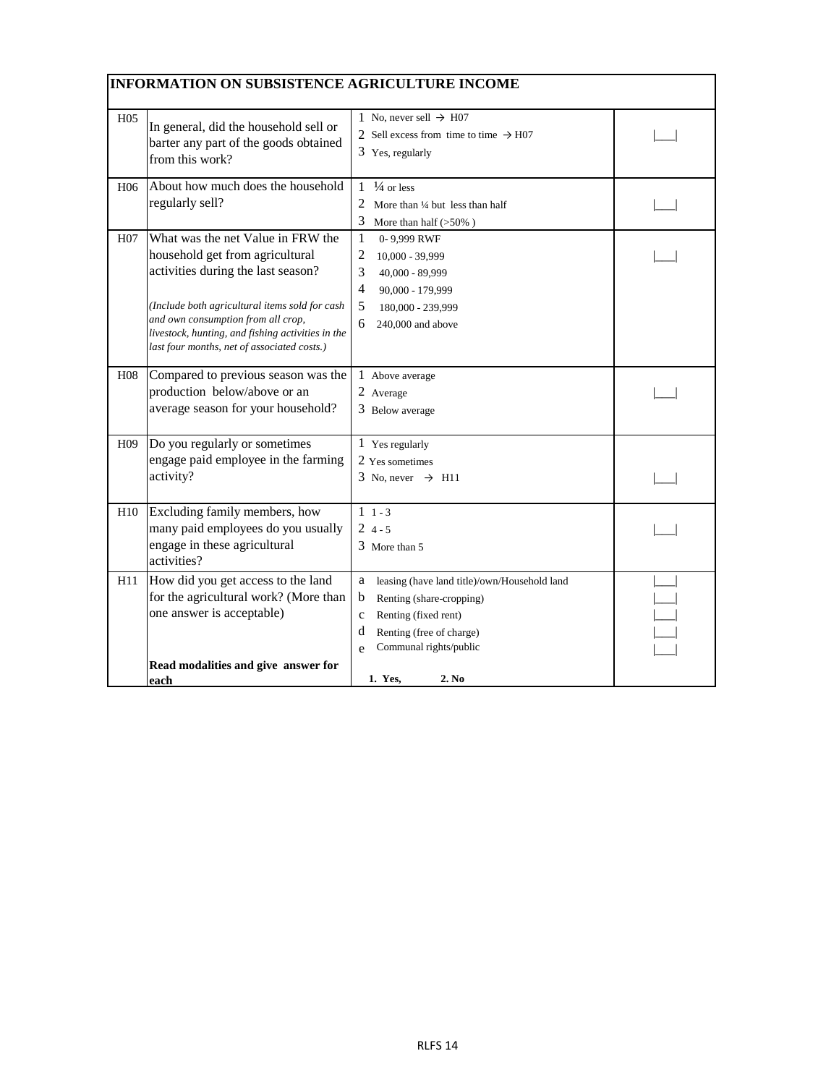|                 | <b>INFORMATION ON SUBSISTENCE AGRICULTURE INCOME</b>                                                                                                                                                                                                                                                   |                                                                                                                                                                                           |  |
|-----------------|--------------------------------------------------------------------------------------------------------------------------------------------------------------------------------------------------------------------------------------------------------------------------------------------------------|-------------------------------------------------------------------------------------------------------------------------------------------------------------------------------------------|--|
| H <sub>05</sub> | In general, did the household sell or<br>barter any part of the goods obtained<br>from this work?                                                                                                                                                                                                      | 1 No, never sell $\rightarrow$ H07<br>2 Sell excess from time to time $\rightarrow$ H07<br>3 Yes, regularly                                                                               |  |
| H <sub>06</sub> | About how much does the household<br>regularly sell?                                                                                                                                                                                                                                                   | $\frac{1}{4}$ or less<br>1<br>More than 1/4 but less than half<br>3<br>More than half $(\mathbf{>}50\%)$                                                                                  |  |
| H <sub>07</sub> | What was the net Value in FRW the<br>household get from agricultural<br>activities during the last season?<br>(Include both agricultural items sold for cash<br>and own consumption from all crop,<br>livestock, hunting, and fishing activities in the<br>last four months, net of associated costs.) | $\mathbf{1}$<br>0-9,999 RWF<br>$\overline{2}$<br>10,000 - 39,999<br>3<br>40,000 - 89,999<br>$\overline{4}$<br>90,000 - 179,999<br>5<br>180,000 - 239,999<br>6<br>240,000 and above        |  |
| H <sub>08</sub> | Compared to previous season was the<br>production below/above or an<br>average season for your household?                                                                                                                                                                                              | 1 Above average<br>2 Average<br>3 Below average                                                                                                                                           |  |
| H <sub>09</sub> | Do you regularly or sometimes<br>engage paid employee in the farming<br>activity?                                                                                                                                                                                                                      | 1 Yes regularly<br>2 Yes sometimes<br>3 No, never $\rightarrow$ H11                                                                                                                       |  |
| H10             | Excluding family members, how<br>many paid employees do you usually<br>engage in these agricultural<br>activities?                                                                                                                                                                                     | $1 \t1 - 3$<br>$24 - 5$<br>3 More than 5                                                                                                                                                  |  |
| H11             | How did you get access to the land<br>for the agricultural work? (More than<br>one answer is acceptable)<br>Read modalities and give answer for                                                                                                                                                        | leasing (have land title)/own/Household land<br>a<br>$\mathbf b$<br>Renting (share-cropping)<br>Renting (fixed rent)<br>c<br>Renting (free of charge)<br>d<br>Communal rights/public<br>e |  |
|                 | <u>each</u>                                                                                                                                                                                                                                                                                            | 2. No<br>1. Yes,                                                                                                                                                                          |  |